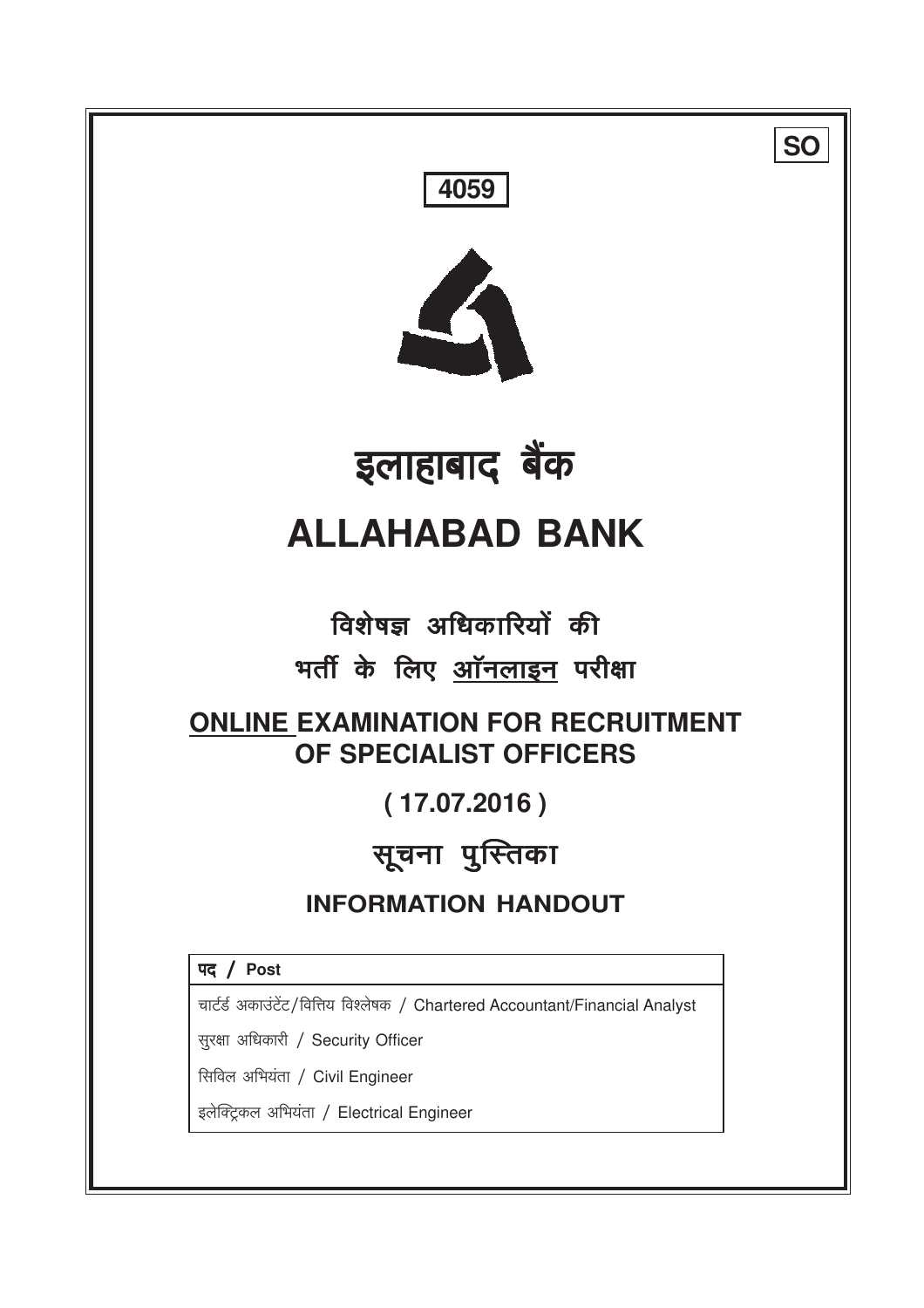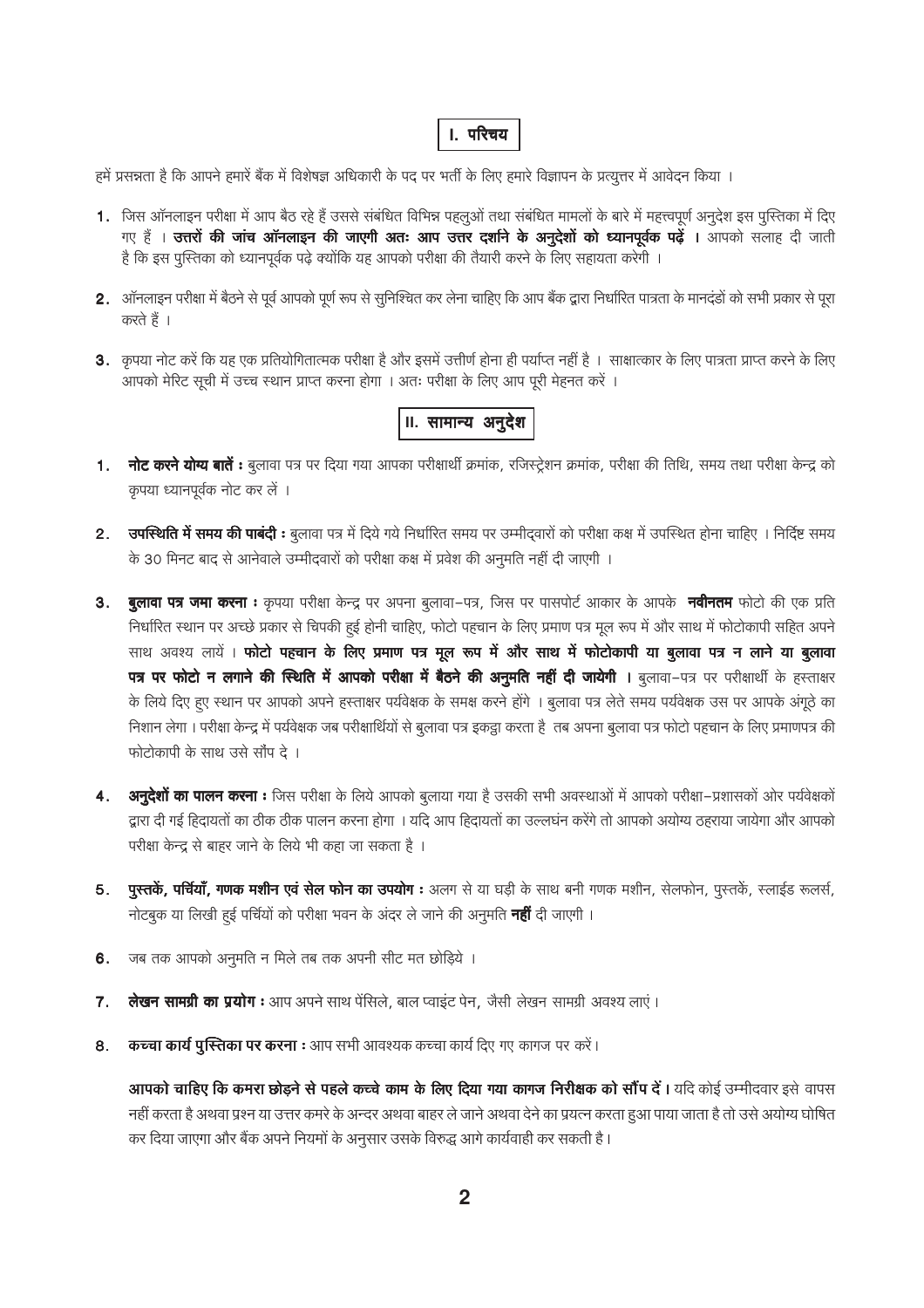# **।**. परिचय

हमें प्रसन्नता है कि आपने हमारे बैंक में विशेषज्ञ अधिकारी के पद पर भर्ती के लिए हमारे विज्ञापन के प्रत्यूत्तर में आवेदन किया ।

- 1. जिस ऑनलाइन परीक्षा में आप बैठ रहे हैं उससे संबंधित विभिन्न पहलूओं तथा संबंधित मामलों के बारे में महत्त्वपूर्ण अनूदेश इस पुस्तिका में दिए गए हैं । उत्त**रों की जांच ऑनलाइन की जाएगी अतः आप उत्तर दर्शाने के अनुदेशों को ध्यानपूर्वक पढ़ें । आपको सलाह दी जाती** है कि इस पुस्तिका को ध्यानपूर्वक पढ़े क्योंकि यह आपको परीक्षा की तैयारी करने के लिए सहायता करेगी ।
- 2. ऑनलाइन परीक्षा में बैठने से पूर्व आपको पूर्ण रूप से सुनिश्चित कर लेना चाहिए कि आप बैंक द्वारा निर्धारित पात्रता के मानदंडों को सभी प्रकार से पूरा करते हैं ।
- 3. कृपया नोट करें कि यह एक प्रतियोगितात्मक परीक्षा है और इसमें उत्तीर्ण होना ही पर्याप्त नहीं है । साक्षात्कार के लिए पात्रता प्राप्त करने के लिए आपको मेरिट सूची में उच्च स्थान प्राप्त करना होगा । अतः परीक्षा के लिए आप पूरी मेहनत करें ।

# II. सामान्य अनुदेश

- 1. नोट करने योग्य बातें : बुलावा पत्र पर दिया गया आपका परीक्षार्थी क्रमांक, रजिस्ट्रेशन क्रमांक, परीक्षा की तिथि, समय तथा परीक्षा केन्द्र को कृपया ध्यानपूर्वक नोट कर लें ।
- 2. उपस्थिति में समय की पाबंदी : बुलावा पत्र में दिये गये निर्धारित समय पर उम्मीद्वारों को परीक्षा कक्ष में उपस्थित होना चाहिए । निर्दिष्ट समय के 30 मिनट बाद से आनेवाले उम्मीदवारों को परीक्षा कक्ष में प्रवेश की अनुमति नहीं दी जाएगी ।
- 3. बुलावा पत्र जमा करना : कृपया परीक्षा केन्द्र पर अपना बुलावा-पत्र, जिस पर पासपोर्ट आकार के आपके नवीनतम फोटो की एक प्रति निर्धारित स्थान पर अच्छे प्रकार से चिपकी हुई होनी चाहिए, फोटो पहचान के लिए प्रमाण पत्र मूल रूप में और साथ में फोटोकापी सहित अपने साथ अवश्य लायें। फोटो पहचान के लिए प्रमाण पत्र मूल रूप में और साथ में फोटोकापी या बुलावा पत्र न लाने या बुलावा पत्र पर फोटो न लगाने की स्थिति में आपको परीक्षा में बैठने की अनुमति नहीं दी जायेगी । बुलावा-पत्र पर परीक्षार्थी के हस्ताक्षर के लिये दिए हुए स्थान पर आपको अपने हस्ताक्षर पर्यवेक्षक के समक्ष करने होंगे । बूलावा पत्र लेते समय पर्यवेक्षक उस पर आपके अंगूठे का निशान लेगा। परीक्षा केन्द्र में पर्यवेक्षक जब परीक्षार्थियों से बुलावा पत्र इकट्ठा करता है तब अपना बुलावा पत्र फोटो पहचान के लिए प्रमाणपत्र की फोटोकापी के साथ उसे सौंप दे।
- 4. अन्**देशों का पालन करना :** जिस परीक्षा के लिये आपको बुलाया गया है उसकी सभी अवस्थाओं में आपको परीक्षा–प्रशासकों ओर पर्यवेक्षकों द्वारा दी गई हिदायतों का ठीक ठीक पालन करना होगा । यदि आप हिदायतों का उल्लघन करेंगे तो आपको अयोग्य ठहराया जायेगा और आपको परीक्षा केन्द्र से बाहर जाने के लिये भी कहा जा सकता है ।
- **पुस्तकें, पर्चियाँ, गणक मशीन एवं सेल फोन का उपयोग :** अलग से या घड़ी के साथ बनी गणक मशीन, सेलफोन, पुस्तकें, स्लाईड रूलर्स, 5. नोटबुक या लिखी हुई पर्चियों को परीक्षा भवन के अंदर ले जाने की अनुमति **नहीं** दी जाएगी ।
- जब तक आपको अनुमति न मिले तब तक अपनी सीट मत छोड़िये । 6.
- लेखन सामग्री का प्रयोग : आप अपने साथ पेंसिले, बाल प्वाइंट पेन, जैसी लेखन सामग्री अवश्य लाएं । 7.
- कच्चा कार्य पुस्तिका पर करना : आप सभी आवश्यक कच्चा कार्य दिए गए कागज पर करें। 8.

आपको चाहिए कि कमरा छोड़ने से पहले कच्चे काम के लिए दिया गया कागज निरीक्षक को सौंप दें। यदि कोई उम्मीदवार इसे वापस नहीं करता है अथवा प्रश्न या उत्तर कमरे के अन्दर अथवा बाहर ले जाने अथवा देने का प्रयत्न करता हुआ पाया जाता है तो उसे अयोग्य घोषित कर दिया जाएगा और बैंक अपने नियमों के अनुसार उसके विरुद्ध आगे कार्यवाही कर सकती है।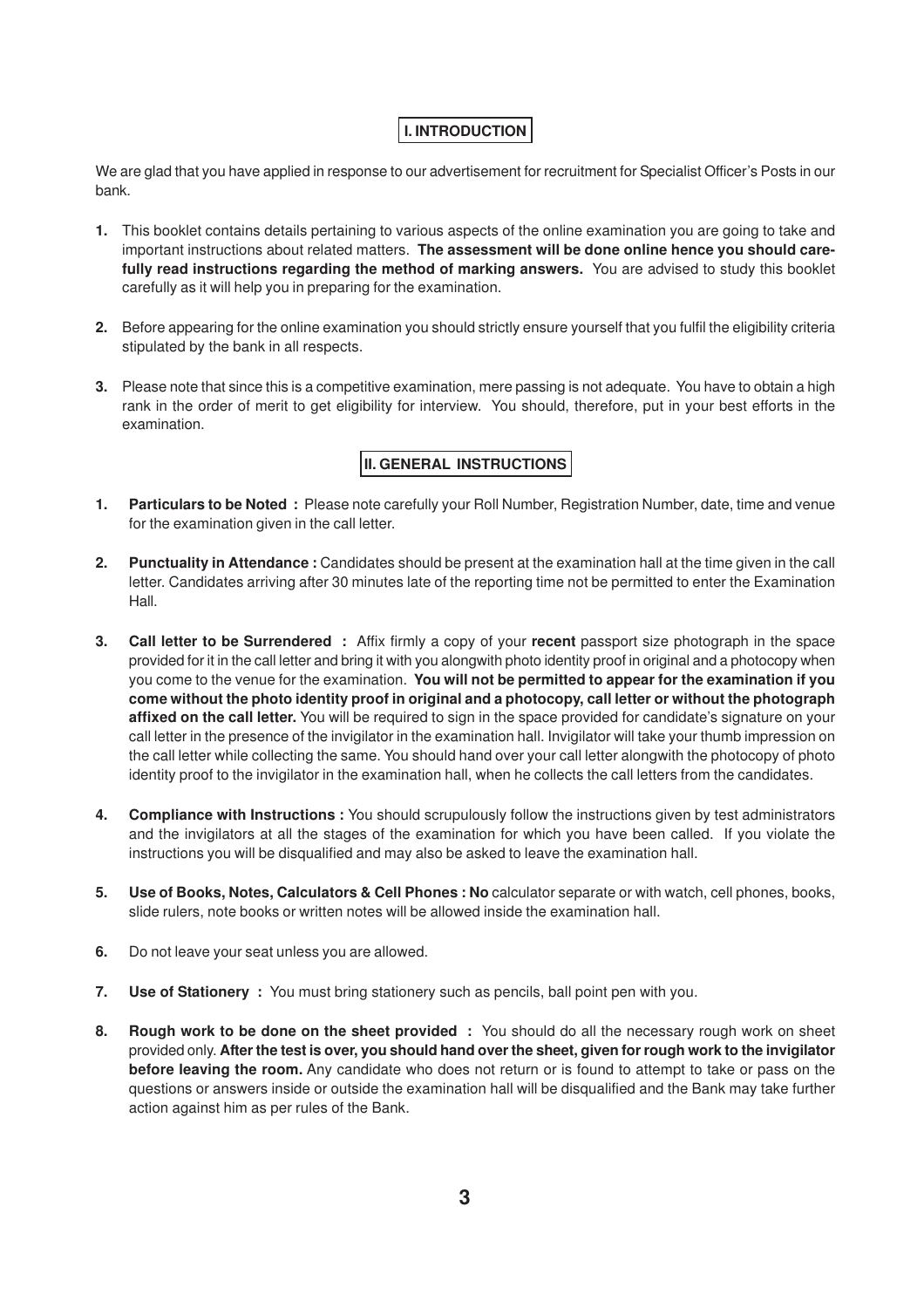# **I. INTRODUCTION**

We are glad that you have applied in response to our advertisement for recruitment for Specialist Officer's Posts in our bank.

- **1.** This booklet contains details pertaining to various aspects of the online examination you are going to take and important instructions about related matters. **The assessment will be done online hence you should carefully read instructions regarding the method of marking answers.** You are advised to study this booklet carefully as it will help you in preparing for the examination.
- **2.** Before appearing for the online examination you should strictly ensure yourself that you fulfil the eligibility criteria stipulated by the bank in all respects.
- **3.** Please note that since this is a competitive examination, mere passing is not adequate. You have to obtain a high rank in the order of merit to get eligibility for interview. You should, therefore, put in your best efforts in the examination.

# **II. GENERAL INSTRUCTIONS**

- **1. Particulars to be Noted :** Please note carefully your Roll Number, Registration Number, date, time and venue for the examination given in the call letter.
- **2. Punctuality in Attendance :** Candidates should be present at the examination hall at the time given in the call letter. Candidates arriving after 30 minutes late of the reporting time not be permitted to enter the Examination Hall.
- **3. Call letter to be Surrendered :** Affix firmly a copy of your **recent** passport size photograph in the space provided for it in the call letter and bring it with you alongwith photo identity proof in original and a photocopy when you come to the venue for the examination. **You will not be permitted to appear for the examination if you come without the photo identity proof in original and a photocopy, call letter or without the photograph affixed on the call letter.** You will be required to sign in the space provided for candidate's signature on your call letter in the presence of the invigilator in the examination hall. Invigilator will take your thumb impression on the call letter while collecting the same. You should hand over your call letter alongwith the photocopy of photo identity proof to the invigilator in the examination hall, when he collects the call letters from the candidates.
- **4. Compliance with Instructions :** You should scrupulously follow the instructions given by test administrators and the invigilators at all the stages of the examination for which you have been called. If you violate the instructions you will be disqualified and may also be asked to leave the examination hall.
- **5. Use of Books, Notes, Calculators & Cell Phones : No** calculator separate or with watch, cell phones, books, slide rulers, note books or written notes will be allowed inside the examination hall.
- **6.** Do not leave your seat unless you are allowed.
- **7. Use of Stationery :** You must bring stationery such as pencils, ball point pen with you.
- **8. Rough work to be done on the sheet provided :** You should do all the necessary rough work on sheet provided only. **After the test is over, you should hand over the sheet, given for rough work to the invigilator before leaving the room.** Any candidate who does not return or is found to attempt to take or pass on the questions or answers inside or outside the examination hall will be disqualified and the Bank may take further action against him as per rules of the Bank.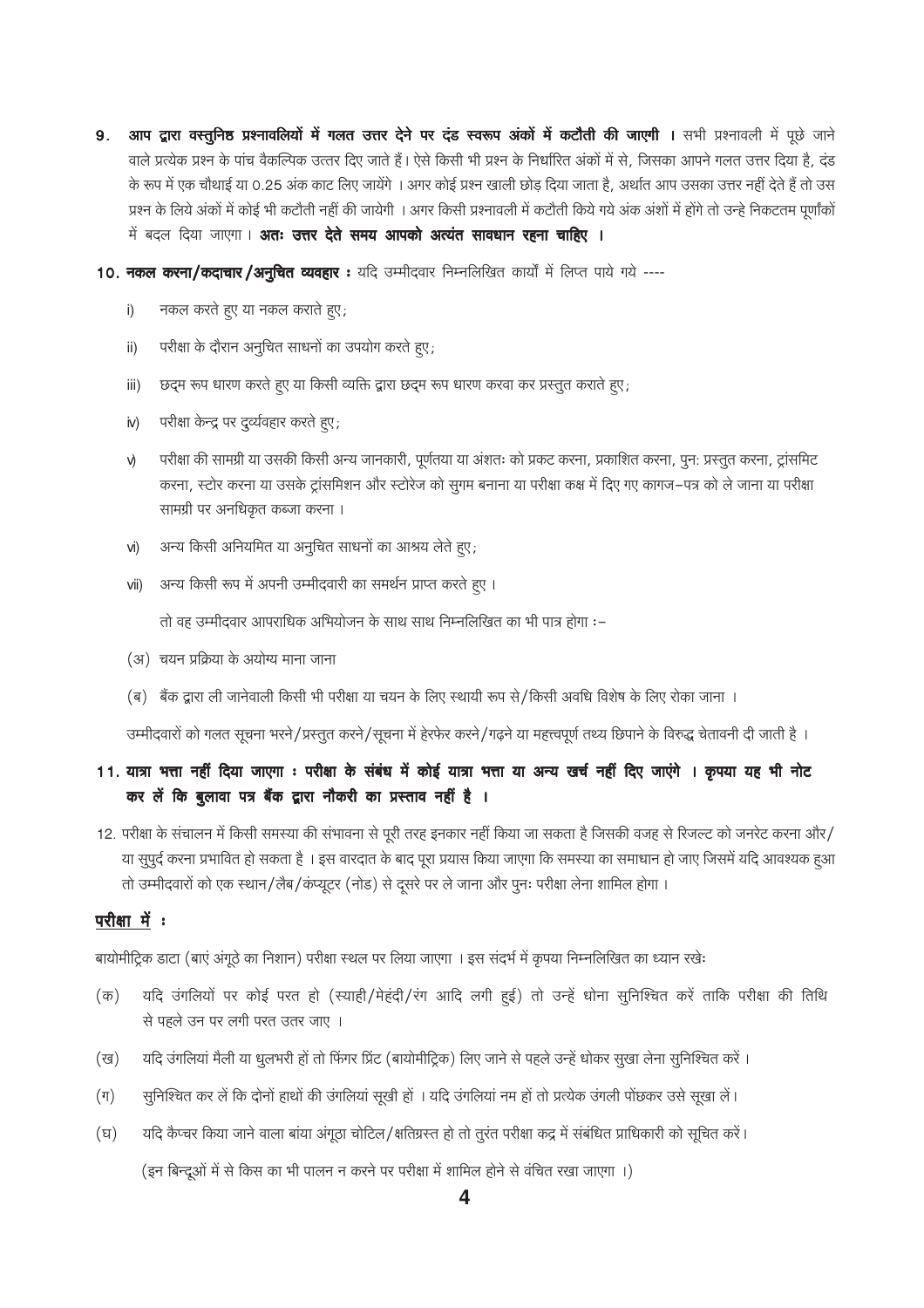आप द्वारा वस्तुनिष्ठ प्रश्नावलियों में गलत उत्तर देने पर दंड स्वरूप अंकों में कटौती की जाएगी । सभी प्रश्नावली में पूछे जाने 9. वाले प्रत्येक प्रश्न के पांच वैकल्पिक उत्तर दिए जाते हैं। ऐसे किसी भी प्रश्न के निर्धारित अंकों में से, जिसका आपने गलत उत्तर दिया है, दंड के रूप में एक चौथाई या 0.25 अंक काट लिए जायेंगे । अगर कोई प्रश्न खाली छोड़ दिया जाता है, अर्थात आप उसका उत्तर नहीं देते हैं तो उस प्रश्न के लिये अंकों में कोई भी कटौती नहीं की जायेगी । अगर किसी प्रश्नावली में कटौती किये गये अंक अंशों में होंगे तो उन्हे निकटतम पूर्णांकों में बदल दिया जाएगा। **अतः उत्तर देते समय आपको अत्यंत सावधान रहना चाहिए ।** 

10. नकल करना/कदाचार/अनुचित व्यवहार: यदि उम्मीदवार निम्नलिखित कार्यों में लिप्त पाये गये ----

- नकल करते हुए या नकल कराते हुए; i)
- परीक्षा के दौरान अनुचित साधनों का उपयोग करते हुए; ii)
- छद्म रूप धारण करते हुए या किसी व्यक्ति द्वारा छद्म रूप धारण करवा कर प्रस्तुत कराते हुए; iii)
- परीक्षा केन्द्र पर दुर्व्यवहार करते हुए;  $iv)$
- परीक्षा की सामग्री या उसकी किसी अन्य जानकारी, पूर्णतया या अंशतः को प्रकट करना, प्रकाशित करना, पून: प्रस्तुत करना, ट्रांसमिट V) करना, स्टोर करना या उसके ट्रांसमिशन और स्टोरेज को सुगम बनाना या परीक्षा कक्ष में दिए गए कागज–पत्र को ले जाना या परीक्षा सामग्री पर अनधिकृत कब्जा करना ।
- अन्य किसी अनियमित या अनुचित साधनों का आश्रय लेते हुए; vi)
- अन्य किसी रूप में अपनी उम्मीदवारी का समर्थन प्राप्त करते हुए । vii)

तो वह उम्मीदवार आपराधिक अभियोजन के साथ साथ निम्नलिखित का भी पात्र होगा :-

- (अ) चयन प्रक्रिया के अयोग्य माना जाना
- (ब) बैंक द्वारा ली जानेवाली किसी भी परीक्षा या चयन के लिए स्थायी रूप से/किसी अवधि विशेष के लिए रोका जाना ।

उम्मीदवारों को गलत सूचना भरने/प्रस्तुत करने/सूचना में हेरफेर करने/गढ़ने या महत्त्वपूर्ण तथ्य छिपाने के विरुद्ध चेतावनी दी जाती है ।

# 11. यात्रा भत्ता नहीं दिया जाएगा : परीक्षा के संबंध में कोई यात्रा भत्ता या अन्य खर्च नहीं दिए जाएंगे । कृपया यह भी नोट कर लें कि बुलावा पत्र बैंक द्वारा नौकरी का प्रस्ताव नहीं है ।

12. परीक्षा के संचालन में किसी समस्या की संभावना से पूरी तरह इनकार नहीं किया जा सकता है जिसकी वजह से रिजल्ट को जनरेट करना और/ या सुपूर्द करना प्रभावित हो सकता है । इस वारदात के बाद पूरा प्रयास किया जाएगा कि समस्या का समाधान हो जाए जिसमें यदि आवश्यक हआ तो उम्मीदवारों को एक स्थान/लैब/कप्यूटर (नोड) से दूसरे पर ले जाना और पुनः परीक्षा लेना शामिल होगा ।

### परीक्षा में :

बायोमीट्रिक डाटा (बाएं अंगूठे का निशान) परीक्षा स्थल पर लिया जाएगा । इस संदर्भ में कृपया निम्नलिखित का ध्यान रखेः

- यदि उंगलियों पर कोई परत हो (स्याही/मेहंदी/रंग आदि लगी हुई) तो उन्हें धोना सुनिश्चित करें ताकि परीक्षा की तिथि  $(\overline{\sigma})$ से पहले उन पर लगी परत उतर जाए ।
- यदि उंगलिया मैली या धुलभरी हो तो फिंगर प्रिंट (बायोमीट्रिक) लिए जाने से पहले उन्हें धोकर सुखा लेना सुनिश्चित करे । (ख)
- $(\top)$ सूनिश्चित कर लें कि दोनों हाथों की उंगलियां सूखी हों । यदि उंगलियां नम हों तो प्रत्येक उंगली पोछकर उसे सूखा लें।
- यदि कैप्चर किया जाने वाला बांया अंगूठा चोटिल/क्षतिग्रस्त हो तो तुरंत परीक्षा कद्र में संबंधित प्राधिकारी को सूचित करें।  $(\overline{z})$

(इन बिन्दूओं में से किस का भी पालन न करने पर परीक्षा में शामिल होने से वंचित रखा जाएगा ।)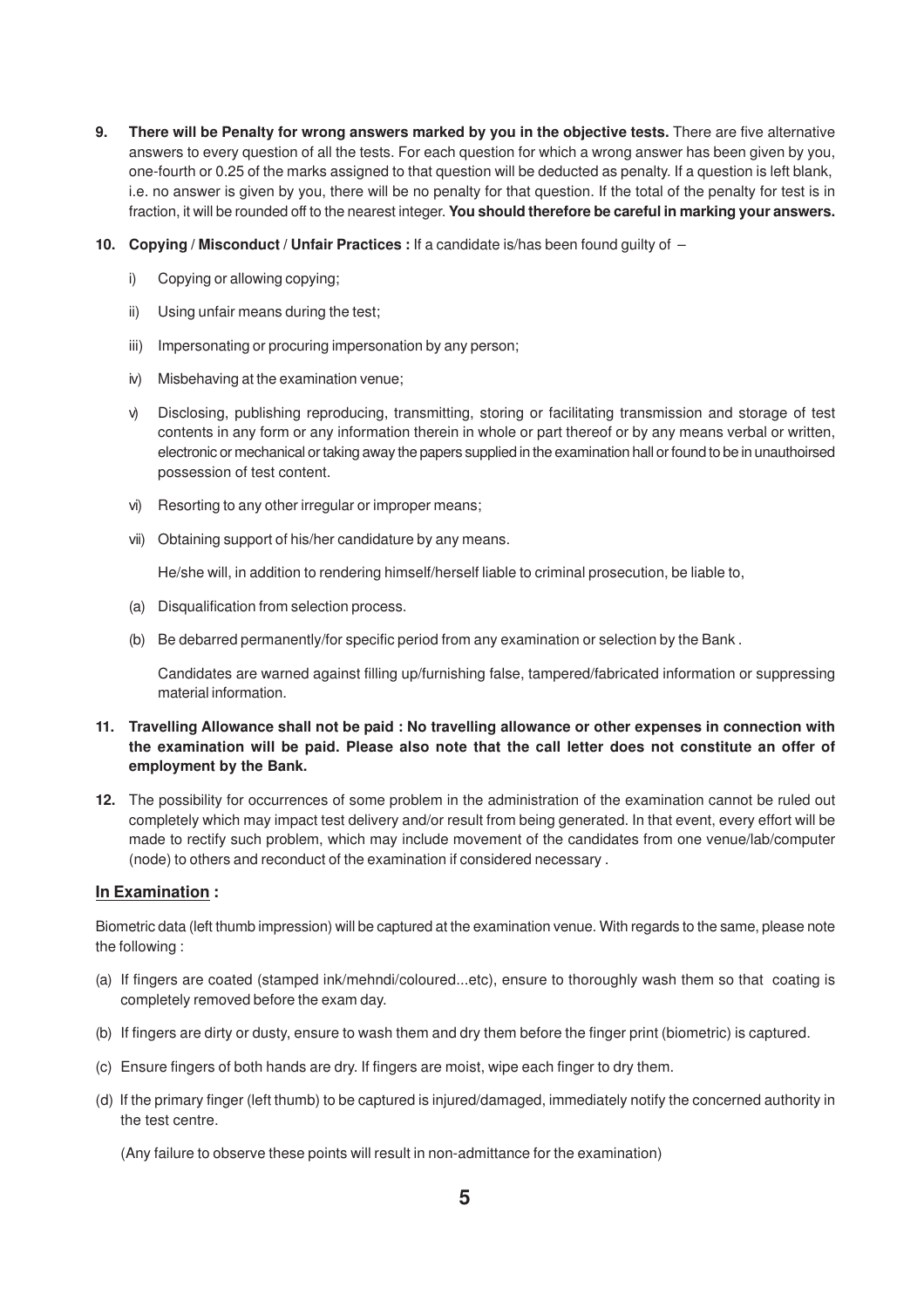- **9. There will be Penalty for wrong answers marked by you in the objective tests.** There are five alternative answers to every question of all the tests. For each question for which a wrong answer has been given by you, one-fourth or 0.25 of the marks assigned to that question will be deducted as penalty. If a question is left blank, i.e. no answer is given by you, there will be no penalty for that question. If the total of the penalty for test is in fraction, it will be rounded off to the nearest integer. **You should therefore be careful in marking your answers.**
- **10. Copying / Misconduct / Unfair Practices :** If a candidate is/has been found guilty of
	- i) Copying or allowing copying;
	- ii) Using unfair means during the test;
	- iii) Impersonating or procuring impersonation by any person;
	- iv) Misbehaving at the examination venue;
	- v) Disclosing, publishing reproducing, transmitting, storing or facilitating transmission and storage of test contents in any form or any information therein in whole or part thereof or by any means verbal or written, electronic or mechanical or taking away the papers supplied in the examination hall or found to be in unauthoirsed possession of test content.
	- vi) Resorting to any other irregular or improper means;
	- vii) Obtaining support of his/her candidature by any means.

He/she will, in addition to rendering himself/herself liable to criminal prosecution, be liable to,

- (a) Disqualification from selection process.
- (b) Be debarred permanently/for specific period from any examination or selection by the Bank .

Candidates are warned against filling up/furnishing false, tampered/fabricated information or suppressing material information.

### **11. Travelling Allowance shall not be paid : No travelling allowance or other expenses in connection with the examination will be paid. Please also note that the call letter does not constitute an offer of employment by the Bank.**

**12.** The possibility for occurrences of some problem in the administration of the examination cannot be ruled out completely which may impact test delivery and/or result from being generated. In that event, every effort will be made to rectify such problem, which may include movement of the candidates from one venue/lab/computer (node) to others and reconduct of the examination if considered necessary .

#### **In Examination :**

Biometric data (left thumb impression) will be captured at the examination venue. With regards to the same, please note the following :

- (a) If fingers are coated (stamped ink/mehndi/coloured...etc), ensure to thoroughly wash them so that coating is completely removed before the exam day.
- (b) If fingers are dirty or dusty, ensure to wash them and dry them before the finger print (biometric) is captured.
- (c) Ensure fingers of both hands are dry. If fingers are moist, wipe each finger to dry them.
- (d) If the primary finger (left thumb) to be captured is injured/damaged, immediately notify the concerned authority in the test centre.

(Any failure to observe these points will result in non-admittance for the examination)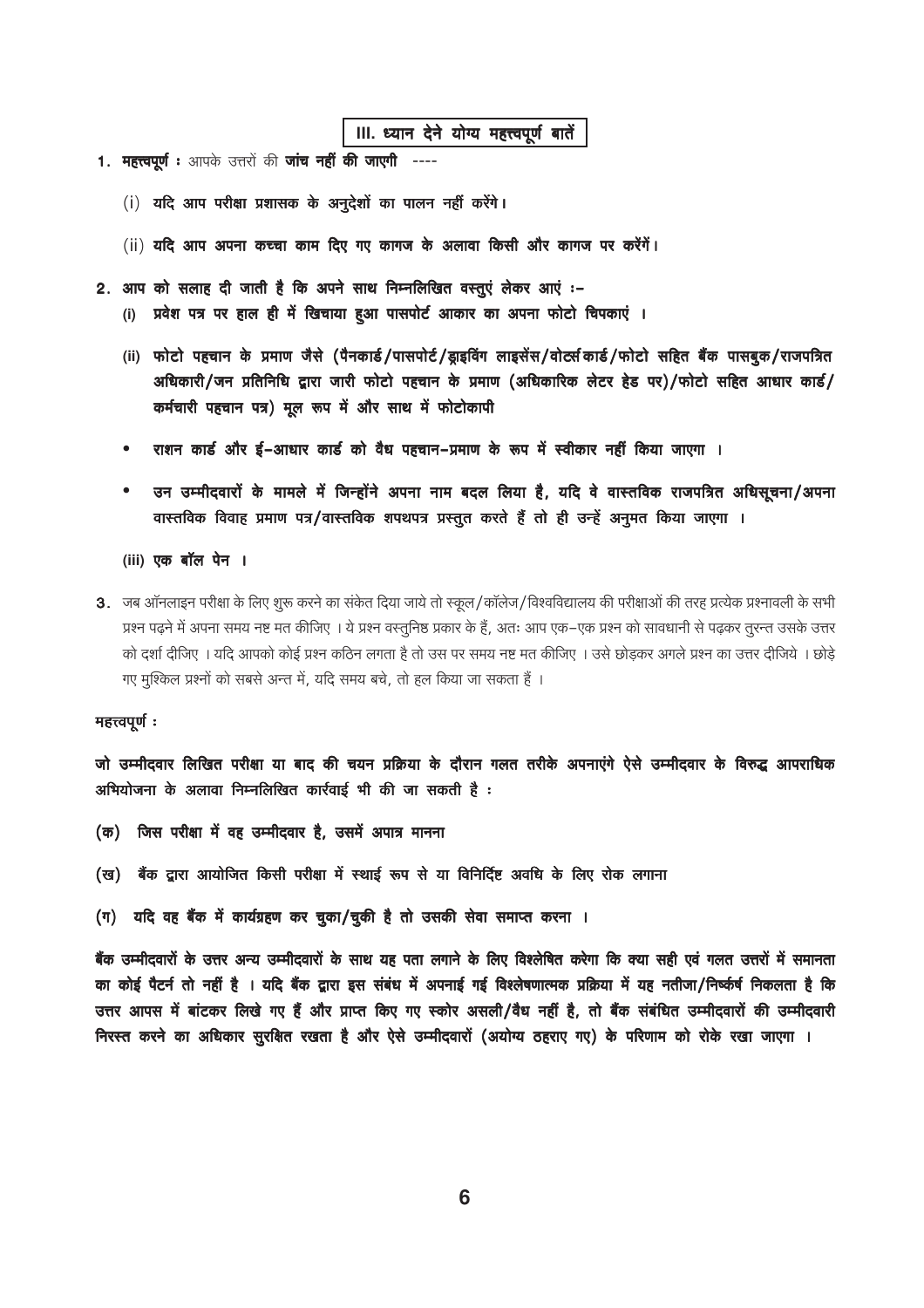### III. ध्यान देने योग्य महत्त्वपूर्ण बातें

- 1. महत्त्वपूर्ण: आपके उत्तरों की जांच नहीं की जाएगी ----
	- (i) यदि आप परीक्षा प्रशासक के अनुदेशों का पालन नहीं करेंगे।
	- (ii) यदि आप अपना कच्चा काम दिए गए कागज के अलावा किसी और कागज पर करेंगें।
- 2. आप को सलाह दी जाती है कि अपने साथ निम्नलिखित वस्तुएं लेकर आएं :-
	- (i) प्रवेश पत्र पर हाल ही में खिचाया हुआ पासपोर्ट आकार का अपना फोटो चिपकाएं ।
	- (ii) फोटो पहचान के प्रमाण जैसे (पैनकार्ड/पासपोर्ट/ड्राइविंग लाइसेंस/वोर्ट्सकार्ड/फोटो सहित बैंक पासबूक/राजपत्रित अधिकारी/जन प्रतिनिधि द्वारा जारी फोटो पहचान के प्रमाण (अधिकारिक लेटर हेड पर)/फोटो सहित आधार कार्ड/ कर्मचारी पहचान पत्र) मूल रूप में और साथ में फोटोकापी
	- राशन कार्ड और ई-आधार कार्ड को वैध पहचान-प्रमाण के रूप में स्वीकार नहीं किया जाएगा ।
	- उन उम्मीदवारों के मामले में जिन्होंने अपना नाम बदल लिया है, यदि वे वास्तविक राजपत्रित अधिसूचना/अपना  $\bullet$ वास्तविक विवाह प्रमाण पत्र/वास्तविक शपथपत्र प्रस्तुत करते हैं तो ही उन्हें अनुमत किया जाएगा ।
	- (iii) एक बॉल पेन ।
- 3. जब ऑनलाइन परीक्षा के लिए शुरू करने का संकेत दिया जाये तो स्कूल/कॉलेज/विश्वविद्यालय की परीक्षाओं की तरह प्रत्येक प्रश्नावली के सभी प्रश्न पढ़ने में अपना समय नष्ट मत कीजिए । ये प्रश्न वस्तुनिष्ठ प्रकार के हैं, अतः आप एक–एक प्रश्न को सावधानी से पढ़कर तुरन्त उसके उत्तर को दर्शा दीजिए । यदि आपको कोई प्रश्न कठिन लगता है तो उस पर समय नष्ट मत कीजिए । उसे छोड़कर अगले प्रश्न का उत्तर दीजिये । छोड़े गए मूश्किल प्रश्नों को सबसे अन्त में, यदि समय बचे, तो हल किया जा सकता हैं ।

### महत्त्वपूर्णः

जो उम्मीदवार लिखित परीक्षा या बाद की चयन प्रक्रिया के दौरान गलत तरीके अपनाएंगे ऐसे उम्मीदवार के विरुद्ध आपराधिक अभियोजना के अलावा निम्नलिखित कार्रवाई भी की जा सकती है:

- (क) जिस परीक्षा में वह उम्मीदवार है, उसमें अपात्र मानना
- (ख) बैंक द्वारा आयोजित किसी परीक्षा में स्थाई रूप से या विनिर्दिष्ट अवधि के लिए रोक लगाना
- (ग) यदि वह बैंक में कार्यग्रहण कर चूका/चूकी है तो उसकी सेवा समाप्त करना ।

बैंक उम्मीदवारों के उत्तर अन्य उम्मीदवारों के साथ यह पता लगाने के लिए विश्लेषित करेगा कि क्या सही एवं गलत उत्तरों में समानता का कोई पैटर्न तो नहीं है । यदि बैंक द्वारा इस संबंध में अपनाई गई विश्लेषणात्मक प्रक्रिया में यह नतीजा/निष्कीर्ष निकलता है कि उत्तर आपस में बांटकर लिखे गए हैं और प्राप्त किए गए स्कोर असली/वैध नहीं है, तो बैंक संबंधित उम्मीदवारों की उम्मीदवारी निरस्त करने का अधिकार सुरक्षित रखता है और ऐसे उम्मीदवारों (अयोग्य ठहराए गए) के परिणाम को रोके रखा जाएगा ।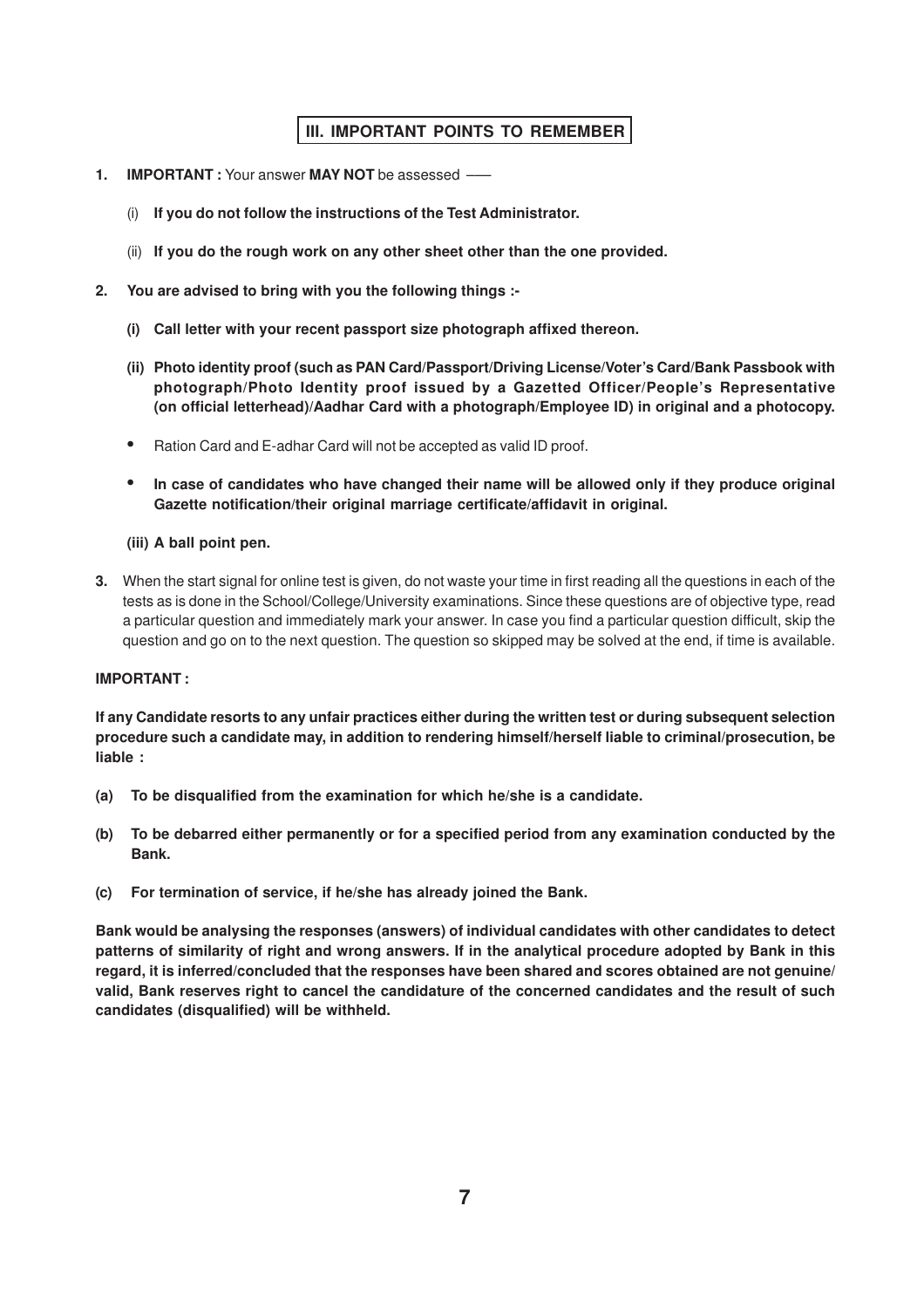# **III. IMPORTANT POINTS TO REMEMBER**

- **1. IMPORTANT :** Your answer **MAY NOT** be assessed –––
	- (i) **If you do not follow the instructions of the Test Administrator.**
	- (ii) **If you do the rough work on any other sheet other than the one provided.**
- **2. You are advised to bring with you the following things :-**
	- **(i) Call letter with your recent passport size photograph affixed thereon.**
	- **(ii) Photo identity proof (such as PAN Card/Passport/Driving License/Voter's Card/Bank Passbook with photograph/Photo Identity proof issued by a Gazetted Officer/People's Representative (on official letterhead)/Aadhar Card with a photograph/Employee ID) in original and a photocopy.**
	- **•** Ration Card and E-adhar Card will not be accepted as valid ID proof.
	- **• In case of candidates who have changed their name will be allowed only if they produce original Gazette notification/their original marriage certificate/affidavit in original.**

### **(iii) A ball point pen.**

**3.** When the start signal for online test is given, do not waste your time in first reading all the questions in each of the tests as is done in the School/College/University examinations. Since these questions are of objective type, read a particular question and immediately mark your answer. In case you find a particular question difficult, skip the question and go on to the next question. The question so skipped may be solved at the end, if time is available.

### **IMPORTANT :**

**If any Candidate resorts to any unfair practices either during the written test or during subsequent selection procedure such a candidate may, in addition to rendering himself/herself liable to criminal/prosecution, be liable :**

- **(a) To be disqualified from the examination for which he/she is a candidate.**
- **(b) To be debarred either permanently or for a specified period from any examination conducted by the Bank.**
- **(c) For termination of service, if he/she has already joined the Bank.**

**Bank would be analysing the responses (answers) of individual candidates with other candidates to detect patterns of similarity of right and wrong answers. If in the analytical procedure adopted by Bank in this regard, it is inferred/concluded that the responses have been shared and scores obtained are not genuine/ valid, Bank reserves right to cancel the candidature of the concerned candidates and the result of such candidates (disqualified) will be withheld.**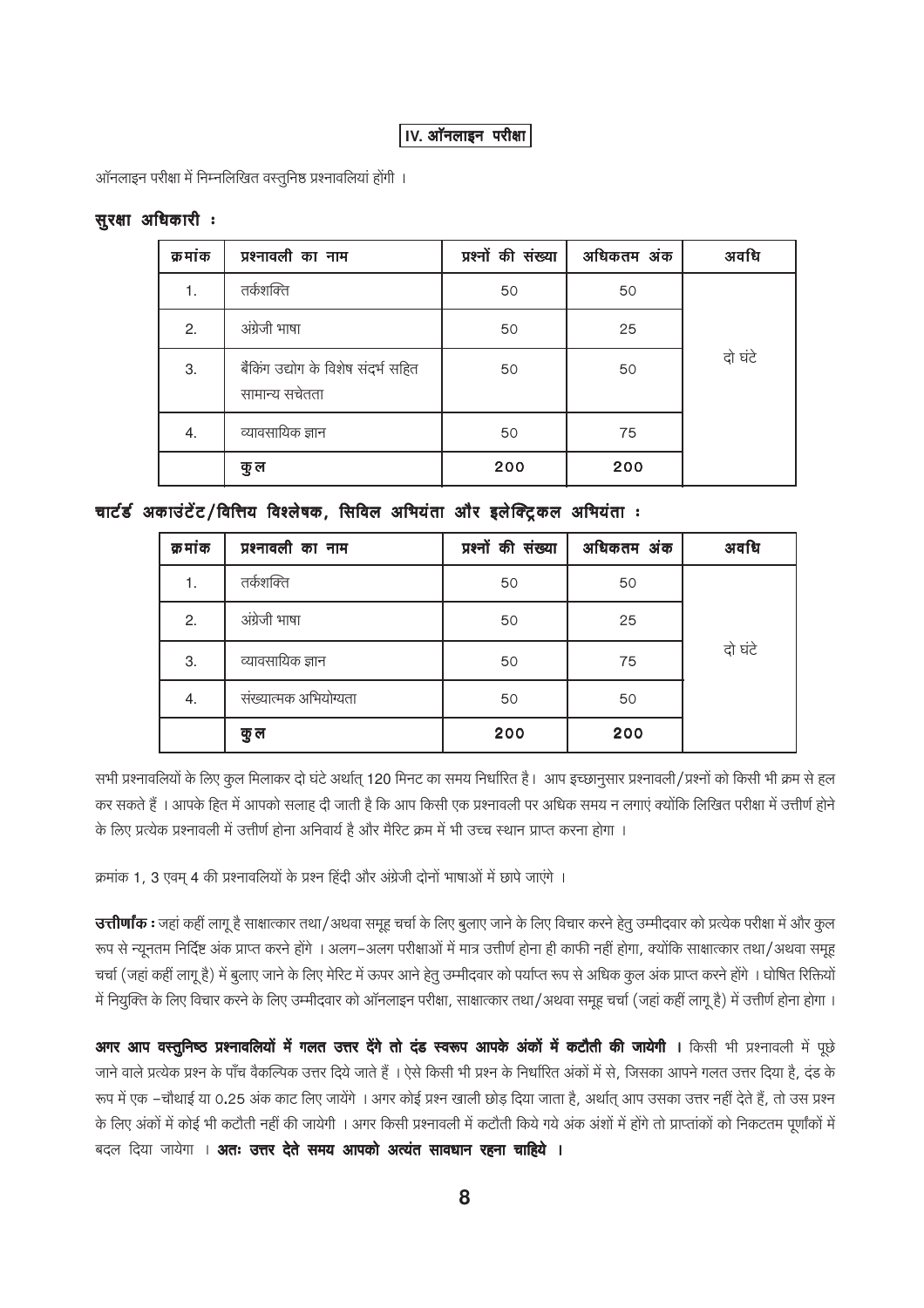### IV. ऑनलाइन परीक्षा

ऑनलाइन परीक्षा में निम्नलिखित वस्तुनिष्ठ प्रश्नावलियां होगी ।

### सुरक्षा अधिकारी :

| क्रमांक | प्रश्नावली का नाम                                     | प्रश्नों की संख्या | अधिकतम अंक | अवधि    |
|---------|-------------------------------------------------------|--------------------|------------|---------|
|         | तर्कशक्ति                                             | 50                 | 50         |         |
| 2.      | अंग्रेजी भाषा                                         | 50                 | 25         |         |
| 3.      | बैंकिंग उद्योग के विशेष संदर्भ सहित<br>सामान्य सचेतता | 50                 | 50         | दो घंटे |
| 4.      | व्यावसायिक ज्ञान                                      | 50                 | 75         |         |
|         | कु ल                                                  | 200                | 200        |         |

# चार्टर्ड अकाउंटेंट/वित्तिय विश्लेषक, सिविल अभियंता और इलेक्ट्रिकल अभियंता :

| क्र मांक | प्रश्नावली का नाम     | प्रश्नों की संख्या | अधिकतम अंक | अवधि    |
|----------|-----------------------|--------------------|------------|---------|
| 1.       | तर्कशक्ति             | 50                 | 50         |         |
| 2.       | अंग्रेजी भाषा         | 50                 | 25         |         |
| 3.       | व्यावसायिक ज्ञान      | 50                 | 75         | दो घंटे |
| 4.       | संख्यात्मक अभियोग्यता | 50                 | 50         |         |
|          | कु ल                  | 200                | 200        |         |

सभी प्रश्नावलियों के लिए कूल मिलाकर दो घंटे अर्थात् 120 मिनट का समय निर्धारित है। आप इच्छानुसार प्रश्नावली/प्रश्नों को किसी भी क्रम से हल कर सकते हैं । आपके हित में आपको सलाह दी जाती है कि आप किसी एक प्रश्नावली पर अधिक समय न लगाएं क्योंकि लिखित परीक्षा में उत्तीर्ण होने के लिए प्रत्येक प्रश्नावली में उत्तीर्ण होना अनिवार्य है और मैरिट क्रम में भी उच्च स्थान प्राप्त करना होगा ।

क्रमांक 1, 3 एवम् 4 की प्रश्नावलियों के प्रश्न हिंदी और अंग्रेजी दोनों भाषाओं में छापे जाएंगे ।

उत्तीर्णांक : जहां कहीं लागू है साक्षात्कार तथा/अथवा समूह चर्चा के लिए बुलाए जाने के लिए विचार करने हेतु उम्मीदवार को प्रत्येक परीक्षा में और कुल रूप से न्यूनतम निर्दिष्ट अंक प्राप्त करने होंगे । अलग–अलग परीक्षाओं में मात्र उत्तीर्ण होना ही काफी नहीं होगा, क्योंकि साक्षात्कार तथा/अथवा समूह चर्चा (जहां कहीं लागू है) में बुलाए जाने के लिए मेरिट में ऊपर आने हेतु उम्मीदवार को पर्याप्त रूप से अधिक कुल अंक प्राप्त करने होंगे । घोषित रिक्तियों में नियुक्ति के लिए विचार करने के लिए उम्मीदवार को ऑनलाइन परीक्षा, साक्षात्कार तथा/अथवा समूह चर्चा (जहां कहीं लागू है) में उत्तीर्ण होना होगा ।

अगर आप वस्तुनिष्ठ प्रश्नावलियों में गलत उत्तर देंगे तो दंड स्वरूप आपके अंकों में कटौती की जायेगी । किसी भी प्रश्नावली में पूछे जाने वाले प्रत्येक प्रश्न के पाँच वैकल्पिक उत्तर दिये जाते हैं । ऐसे किसी भी प्रश्न के निर्धारित अंकों में से, जिसका आपने गलत उत्तर दिया है, दंड के रूप में एक –चौथाई या 0.25 अंक काट लिए जायेंगे । अगर कोई प्रश्न खाली छोड़ दिया जाता है, अर्थात् आप उसका उत्तर नहीं देते हैं, तो उस प्रश्न के लिए अंकों में कोई भी कटौती नहीं की जायेगी । अगर किसी प्रश्नावली में कटौती किये गये अंक अंशों में होंगे तो प्राप्ताकों को निकटतम पूर्णांकों में बदल दिया जायेगा । **अतः उत्तर देते समय आपको अत्यंत सावधान रहना चाहिये ।**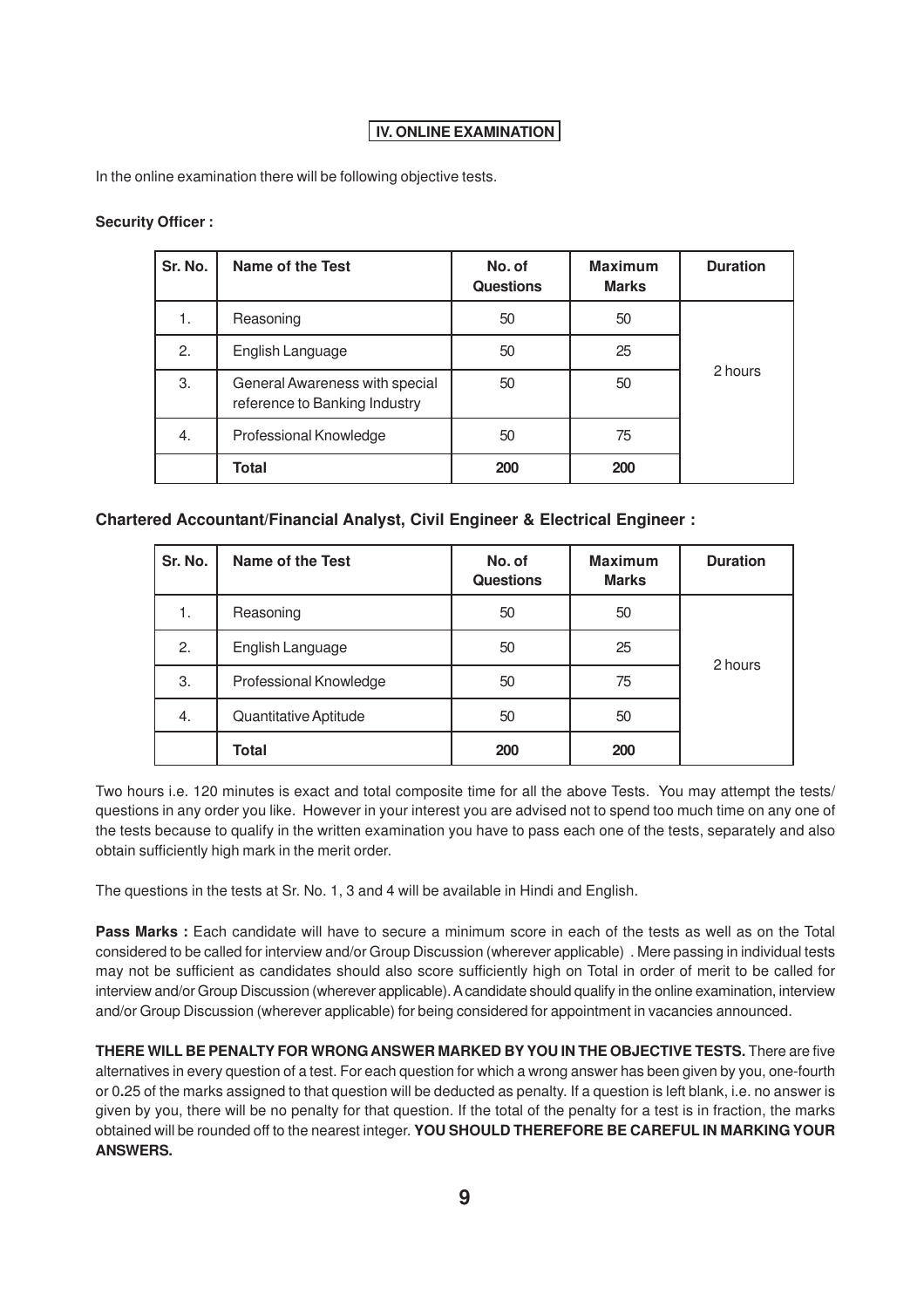# **IV. ONLINE EXAMINATION**

In the online examination there will be following objective tests.

### **Security Officer :**

| Sr. No. | Name of the Test                                                | No. of<br><b>Questions</b> | <b>Maximum</b><br><b>Marks</b> | <b>Duration</b> |
|---------|-----------------------------------------------------------------|----------------------------|--------------------------------|-----------------|
| 1.      | Reasoning                                                       | 50                         | 50                             |                 |
| 2.      | English Language                                                | 50                         | 25                             |                 |
| 3.      | General Awareness with special<br>reference to Banking Industry | 50                         | 50                             | 2 hours         |
| 4.      | Professional Knowledge                                          | 50                         | 75                             |                 |
|         | <b>Total</b>                                                    | 200                        | 200                            |                 |

### **Chartered Accountant/Financial Analyst, Civil Engineer & Electrical Engineer :**

| Sr. No. | <b>Name of the Test</b> | No. of<br><b>Questions</b> | <b>Maximum</b><br><b>Marks</b> | <b>Duration</b> |
|---------|-------------------------|----------------------------|--------------------------------|-----------------|
| 1.      | Reasoning               | 50                         | 50                             |                 |
| 2.      | English Language        | 50                         | 25                             |                 |
| 3.      | Professional Knowledge  | 50                         | 75                             | 2 hours         |
| 4.      | Quantitative Aptitude   | 50                         | 50                             |                 |
|         | <b>Total</b>            | 200                        | 200                            |                 |

Two hours i.e. 120 minutes is exact and total composite time for all the above Tests. You may attempt the tests/ questions in any order you like. However in your interest you are advised not to spend too much time on any one of the tests because to qualify in the written examination you have to pass each one of the tests, separately and also obtain sufficiently high mark in the merit order.

The questions in the tests at Sr. No. 1, 3 and 4 will be available in Hindi and English.

**Pass Marks** : Each candidate will have to secure a minimum score in each of the tests as well as on the Total considered to be called for interview and/or Group Discussion (wherever applicable) . Mere passing in individual tests may not be sufficient as candidates should also score sufficiently high on Total in order of merit to be called for interview and/or Group Discussion (wherever applicable). A candidate should qualify in the online examination, interview and/or Group Discussion (wherever applicable) for being considered for appointment in vacancies announced.

**THERE WILL BE PENALTY FOR WRONG ANSWER MARKED BYYOU IN THE OBJECTIVE TESTS.** There are five alternatives in every question of a test. For each question for which a wrong answer has been given by you, one-fourth or 0**.**25 of the marks assigned to that question will be deducted as penalty. If a question is left blank, i.e. no answer is given by you, there will be no penalty for that question. If the total of the penalty for a test is in fraction, the marks obtained will be rounded off to the nearest integer. **YOU SHOULD THEREFORE BE CAREFUL IN MARKING YOUR ANSWERS.**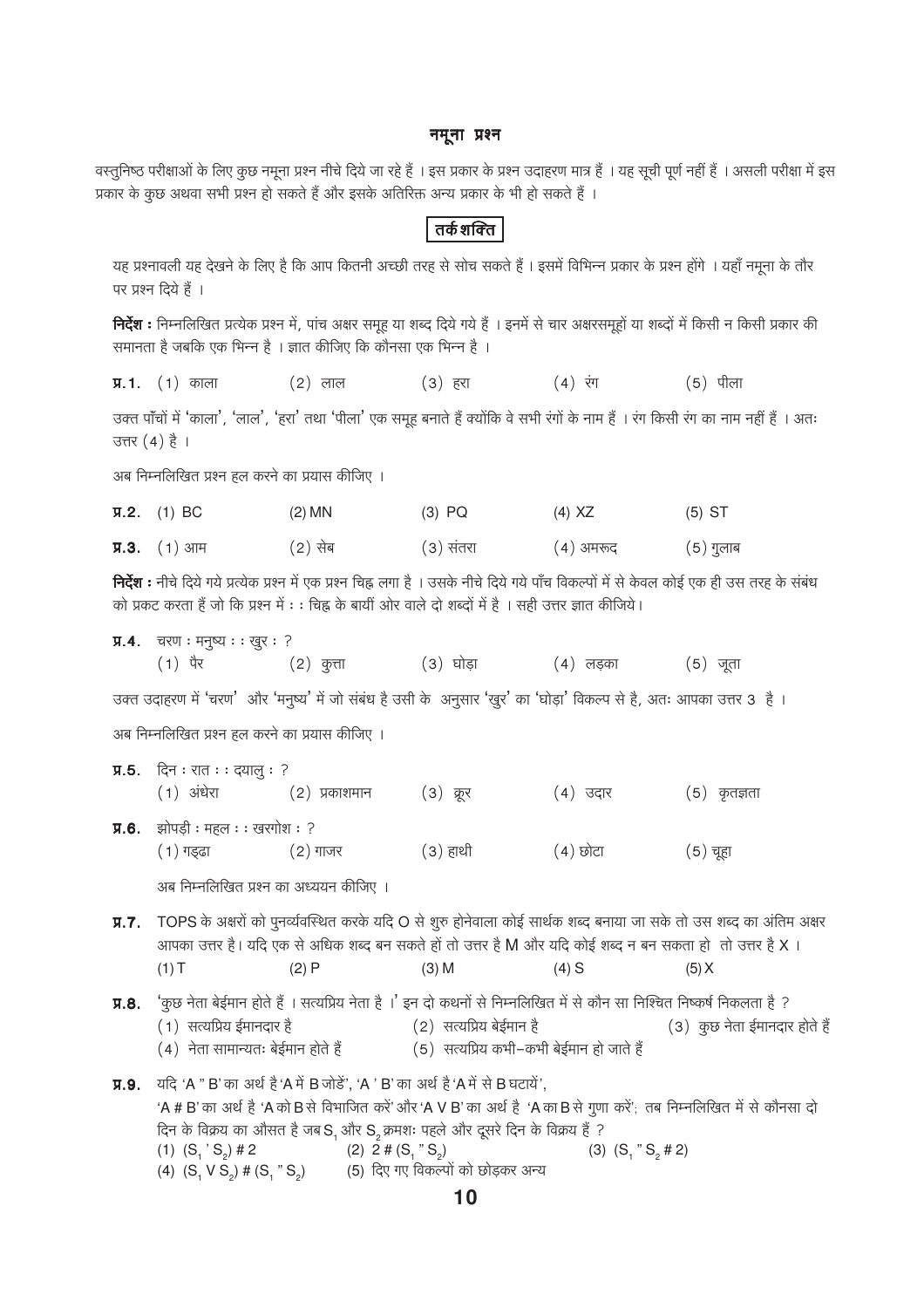#### नमूना प्रश्न

वस्तुनिष्ठ परीक्षाओं के लिए कुछ नमूना प्रश्न नीचे दिये जा रहे हैं । इस प्रकार के प्रश्न उदाहरण मात्र हैं । यह सूची पूर्ण नहीं हैं । असली परीक्षा में इस प्रकार के कुछ अथवा सभी प्रश्न हो सकते हैं और इसके अतिरिक्त अन्य प्रकार के भी हो सकते हैं ।

# तर्कशक्ति

यह प्रश्नावली यह देखने के लिए है कि आप कितनी अच्छी तरह से सोच सकते हैं। इसमें विभिन्न प्रकार के प्रश्न होंगे । यहाँ नमूना के तौर पर प्रश्न दिये हैं ।

निर्देश : निम्नलिखित प्रत्येक प्रश्न में, पांच अक्षर समूह या शब्द दिये गये हैं । इनमें से चार अक्षरसमूहों या शब्दों में किसी न किसी प्रकार की समानता है जबकि एक भिन्न है । ज्ञात कीजिए कि कौनसा एक भिन्न है ।

 $\Pi.1.$  (1) काला  $(2)$  लाल  $(3)$  हरा (4) रंग  $(5)$  पीला

उक्त पाँचों में 'काला', 'लाल', 'हरा' तथा 'पीला' एक समूह बनाते हैं क्योंकि वे सभी रंगों के नाम हैं । रंग किसी रंग का नाम नहीं हैं । अतः उत्तर  $(4)$  है ।

अब निम्नलिखित प्रश्न हल करने का प्रयास कीजिए ।

| $\Pi$ .2. (1) BC | $(2)$ MN | $(3)$ PQ  | (4) XZ      | $(5)$ ST    |
|------------------|----------|-----------|-------------|-------------|
| $Y.3$ . (1) आम   | (2) सेब  | (३) संतरा | ( 4 ) अमरूद | $(5)$ गुलाब |

निर्देश : नीचे दिये गये प्रत्येक प्रश्न में एक प्रश्न चिह्न लगा है । उसके नीचे दिये गये पाँच विकल्पों में से केवल कोई एक ही उस तरह के संबंध को प्रकट करता है जो कि प्रश्न में : : चिह्न के बायीं ओर वाले दो शब्दों में है । सही उत्तर ज्ञात कीजिये।

**प्र.4.** चरण: मनुष्य: : खुर: ?

उक्त उदाहरण में 'चरण' और 'मनुष्य' में जो संबंध है उसी के अनुसार 'खुर' का 'घोड़ा' विकल्प से है, अतः आपका उत्तर 3 है।

अब निम्नलिखित प्रश्न हल करने का प्रयास कीजिए ।

**प्र.5.** दिन ः रात ः : दयालु : ?  $(1)$  अंधेरा (२) प्रकाशमान (3) क्रूर (4) उदार  $(5)$  कृतज्ञता **प्र.6.** झोपड़ी : महल : : खरगोश : ?  $(1)$  गड़ढा  $(2)$  गाजर (३) हाथी (4) छोटा (5) चूहा

अब निम्नलिखित प्रश्न का अध्ययन कीजिए ।

TOPS के अक्षरों को पुनर्व्यवस्थित करके यदि O से शुरु होनेवाला कोई सार्थक शब्द बनाया जा सके तो उस शब्द का अंतिम अक्षर  $\Pi.7.$ आपका उत्तर है। यदि एक से अधिक शब्द बन सकते हों तो उत्तर है M और यदि कोई शब्द न बन सकता हो तो उत्तर है X ।  $(1)T$  $(2)P$  $(3)$  M  $(4)$  S  $(5) X$ 

'कुछ नेता बेईमान होते हैं । सत्यप्रिय नेता है ।' इन दो कथनों से निम्नलिखित में से कौन सा निश्चित निष्कर्ष निकलता है ?  $\Pi.8.$ (2) सत्यप्रिय बेईमान है (1) सत्यप्रिय ईमानदार है (3) कुछ नेता ईमानदार होते हैं (5) सत्यप्रिय कभी–कभी बेईमान हो जाते हैं (4) नेता सामान्यतः बेईमान होते हैं

**Л.9.** यदि 'А " В' का अर्थ है 'А में В जोड़े', 'А ' В' का अर्थ है 'А में से В घटाये', 'A # B' का अर्थ है 'A को B से विभाजित करें' और 'A V B' का अर्थ है 'A का B से गुणा करें'; तब निम्नलिखित में से कौनसा दो दिन के विक्रय का औसत है जब S, और S, क्रमशः पहले और दूसरे दिन के विक्रय हैं ? (1)  $(S_1 \text{' } S_2) \# 2$ (2)  $2 \# (S_1 " S_2)$ (3)  $(S_1 " S_2 # 2)$ (5) दिए गए विकल्पों को छोड़कर अन्य (4)  $(S_1 \vee S_2)$  #  $(S_1 \wedge S_2)$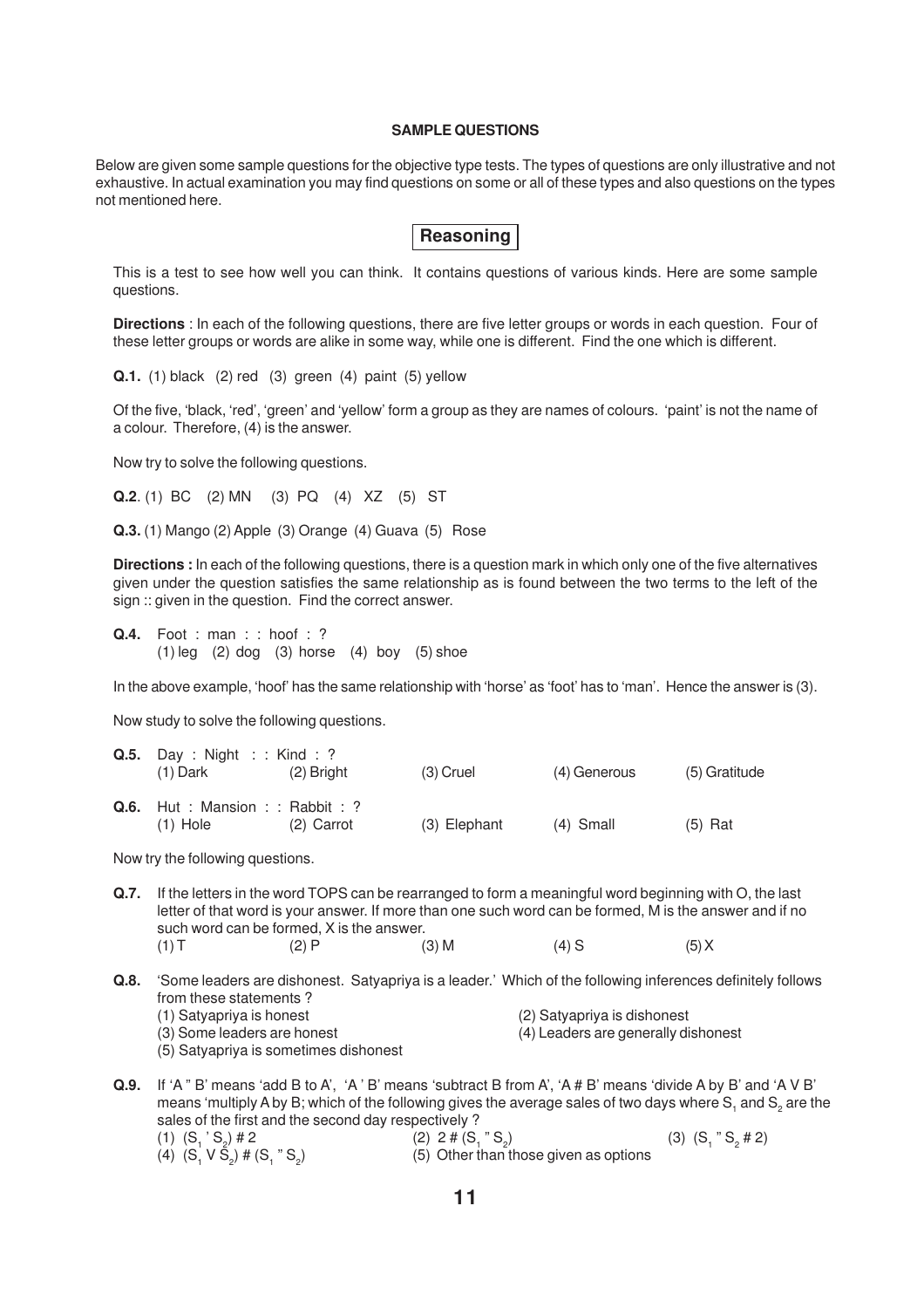#### **SAMPLE QUESTIONS**

Below are given some sample questions for the objective type tests. The types of questions are only illustrative and not exhaustive. In actual examination you may find questions on some or all of these types and also questions on the types not mentioned here.

| <b>Reasoning</b> |  |
|------------------|--|
|                  |  |

This is a test to see how well you can think. It contains questions of various kinds. Here are some sample questions.

**Directions** : In each of the following questions, there are five letter groups or words in each question. Four of these letter groups or words are alike in some way, while one is different. Find the one which is different.

**Q.1.** (1) black (2) red (3) green (4) paint (5) yellow

Of the five, 'black, 'red', 'green' and 'yellow' form a group as they are names of colours. 'paint' is not the name of a colour. Therefore, (4) is the answer.

Now try to solve the following questions.

**Q.2**. (1) BC (2) MN (3) PQ (4) XZ (5) ST

**Q.3.** (1) Mango (2) Apple (3) Orange (4) Guava (5) Rose

**Directions :** In each of the following questions, there is a question mark in which only one of the five alternatives given under the question satisfies the same relationship as is found between the two terms to the left of the sign :: given in the question. Find the correct answer.

**Q.4.** Foot : man : : hoof : ?  $(1)$  leg  $(2)$  dog  $(3)$  horse  $(4)$  boy  $(5)$  shoe

In the above example, 'hoof' has the same relationship with 'horse' as 'foot' has to 'man'. Hence the answer is (3).

Now study to solve the following questions.

| <b>Q.5.</b> Day: Night: Kind: ?<br>$(1)$ Dark         | $(2)$ Bright | $(3)$ Cruel  | (4) Generous | (5) Gratitude |
|-------------------------------------------------------|--------------|--------------|--------------|---------------|
| <b>Q.6.</b> Hut: Mansion: $:$ Rabbit: ?<br>$(1)$ Hole | $(2)$ Carrot | (3) Elephant | $(4)$ Small  | $(5)$ Rat     |

Now try the following questions.

- **Q.7.** If the letters in the word TOPS can be rearranged to form a meaningful word beginning with O, the last letter of that word is your answer. If more than one such word can be formed, M is the answer and if no such word can be formed, X is the answer. (1) T (2) P (3) M (4) S (5) X
- **Q.8.** 'Some leaders are dishonest. Satyapriya is a leader.' Which of the following inferences definitely follows from these statements ? (1) Satyapriya is honest (2) Satyapriya is dishonest (3) Some leaders are honest (4) Leaders are generally dishonest (5) Satyapriya is sometimes dishonest
- **Q.9.** If 'A " B' means 'add B to A', 'A ' B' means 'subtract B from A', 'A # B' means 'divide A by B' and 'A V B' means 'multiply A by B; which of the following gives the average sales of two days where S<sub>1</sub> and S<sub>2</sub> are the sales of the first and the second day respectively ? (1)  $(S_1 S_2$ ) # 2 (2) 2 #  $(S_1 " S_2$ (3)  $(S_1 " S_2 # 2)$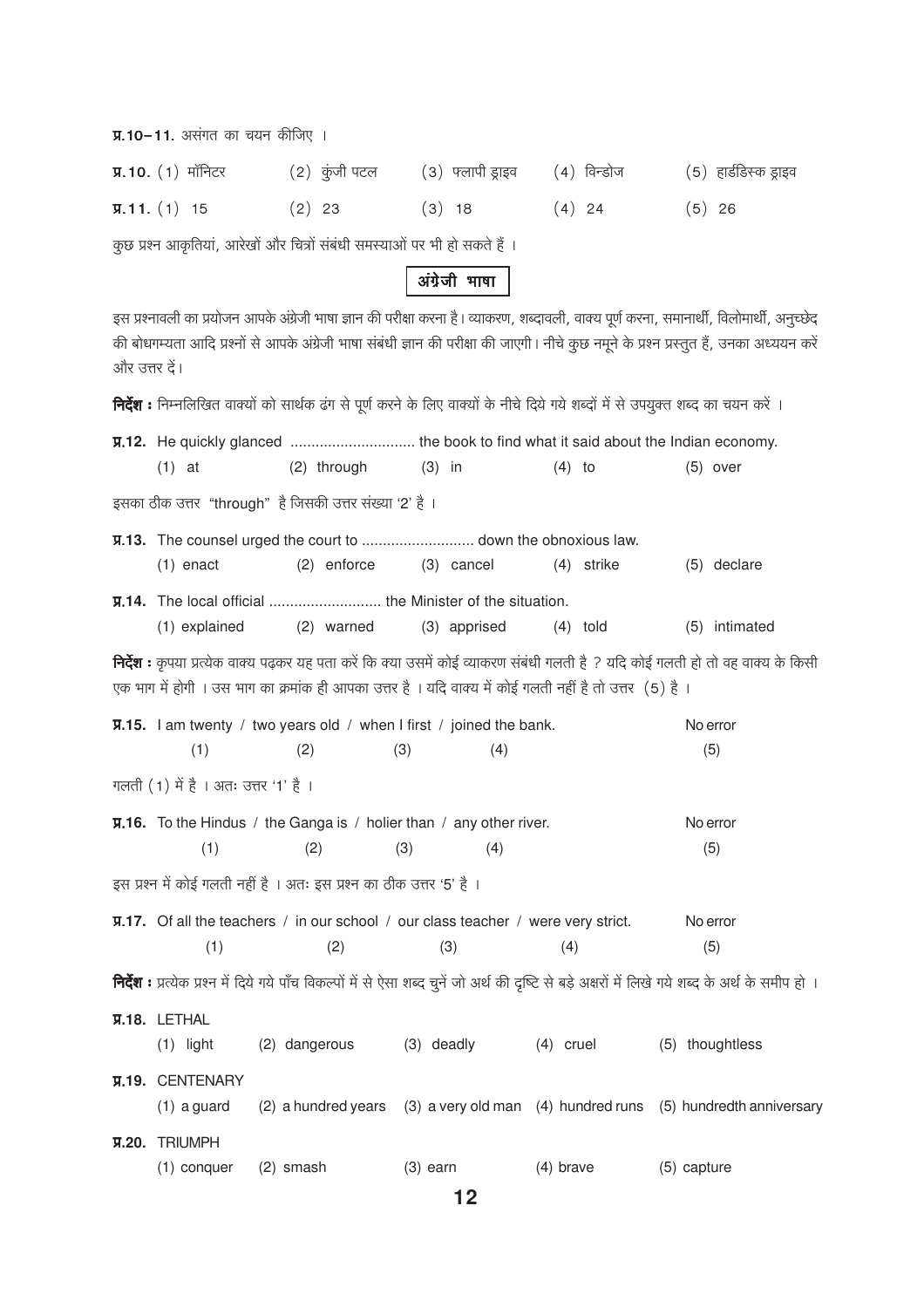| <b>प्र.10-11.</b> असंगत का चयन कीजिए । |  |  |  |
|----------------------------------------|--|--|--|
|                                        |  |  |  |

| <b>प्र.10.</b> $(1)$ मॉनिटर | $(2)$ कुंजी पटल | (३) फ्लापी ड्राइव | (4)विन्डोज | (5) हार्डडिस्क ड्राइव |
|-----------------------------|-----------------|-------------------|------------|-----------------------|
| $\overline{y}$ . 11. (1) 15 | $(2)$ 23        | $(3)$ 18          | $(4)$ 24   | $(5)$ 26              |

कुछ प्रश्न आकृतियां, आरेखों और चित्रों संबंधी समस्याओं पर भी हो सकते हैं ।

अंग्रेजी भाषा

इस प्रश्नावली का प्रयोजन आपके अंग्रेजी भाषा ज्ञान की परीक्षा करना है। व्याकरण, शब्दावली, वाक्य पूर्ण करना, समानार्थी, विलोमार्थी, अनुच्छेद की बोधगम्यता आदि प्रश्नों से आपके अंग्रेजी भाषा संबंधी ज्ञान की परीक्षा की जाएगी। नीचे कुछ नमूने के प्रश्न प्रस्तुत हैं, उनका अध्ययन करें और उत्तर दें।

**निर्देश :** निम्नलिखित वाक्यों को सार्थक ढंग से पूर्ण करने के लिए वाक्यों के नीचे दिये गये शब्दों में से उपयुक्त शब्द का चयन करें ।

|                                      | <b>V.12.</b> He quickly glanced  the book to find what it said about the Indian economy.                |              |             |                                                                                                                                                     |
|--------------------------------------|---------------------------------------------------------------------------------------------------------|--------------|-------------|-----------------------------------------------------------------------------------------------------------------------------------------------------|
| $(1)$ at                             | (2) through                                                                                             | $(3)$ in     | $(4)$ to    | $(5)$ over                                                                                                                                          |
|                                      | इसका ठीक उत्तर "through" है जिसकी उत्तर संख्या '2' है ।                                                 |              |             |                                                                                                                                                     |
|                                      |                                                                                                         |              |             |                                                                                                                                                     |
| $(1)$ enact                          | (2) enforce                                                                                             | (3) cancel   | (4) strike  | (5) declare                                                                                                                                         |
|                                      |                                                                                                         |              |             |                                                                                                                                                     |
| (1) explained                        | (2) warned                                                                                              | (3) apprised | $(4)$ told  | (5) intimated                                                                                                                                       |
|                                      | एक भाग में होगी । उस भाग का क्रमांक ही आपका उत्तर है । यदि वाक्य में कोई गलती नहीं है तो उत्तर (5) है । |              |             | <b>निर्देश :</b> कृपया प्रत्येक वाक्य पढ़कर यह पता करें कि क्या उसमें कोई व्याकरण संबंधी गलती है ? यदि कोई गलती हो तो वह वाक्य के किसी              |
|                                      | $\overline{y}$ .15. I am twenty / two years old / when I first / joined the bank.                       |              |             | No error                                                                                                                                            |
| (1)                                  | (2)                                                                                                     | (3)<br>(4)   |             | (5)                                                                                                                                                 |
| गलती (1) में है । अतः उत्तर '1' है । |                                                                                                         |              |             |                                                                                                                                                     |
|                                      | $\overline{y}$ . 16. To the Hindus / the Ganga is / holier than / any other river.                      |              |             | No error                                                                                                                                            |
| (1)                                  | (2)                                                                                                     | (3)<br>(4)   |             | (5)                                                                                                                                                 |
|                                      | इस प्रश्न में कोई गलती नहीं है । अतः इस प्रश्न का ठीक उत्तर '5' है ।                                    |              |             |                                                                                                                                                     |
|                                      | <b>V.17.</b> Of all the teachers / in our school / our class teacher / were very strict.                |              |             | No error                                                                                                                                            |
| (1)                                  | (2)                                                                                                     | (3)          | (4)         | (5)                                                                                                                                                 |
|                                      |                                                                                                         |              |             | निर्देश : प्रत्येक प्रश्न में दिये गये पाँच विकल्पों में से ऐसा शब्द चुनें जो अर्थ की दृष्टि से बड़े अक्षरों में लिखे गये शब्द के अर्थ के समीप हो । |
| <b>V.18. LETHAL</b>                  |                                                                                                         |              |             |                                                                                                                                                     |
| $(1)$ light                          | (2) dangerous                                                                                           | (3) deadly   | $(4)$ cruel | (5) thoughtless                                                                                                                                     |
| <b>у.19. CENTENARY</b>               |                                                                                                         |              |             |                                                                                                                                                     |
| $(1)$ a guard                        |                                                                                                         |              |             | (2) a hundred years (3) a very old man (4) hundred runs (5) hundredth anniversary                                                                   |
| <b>V.20. TRIUMPH</b>                 |                                                                                                         |              |             |                                                                                                                                                     |
| $(1)$ conquer                        | $(2)$ smash                                                                                             | $(3)$ earn   | $(4)$ brave | (5) capture                                                                                                                                         |

 $12$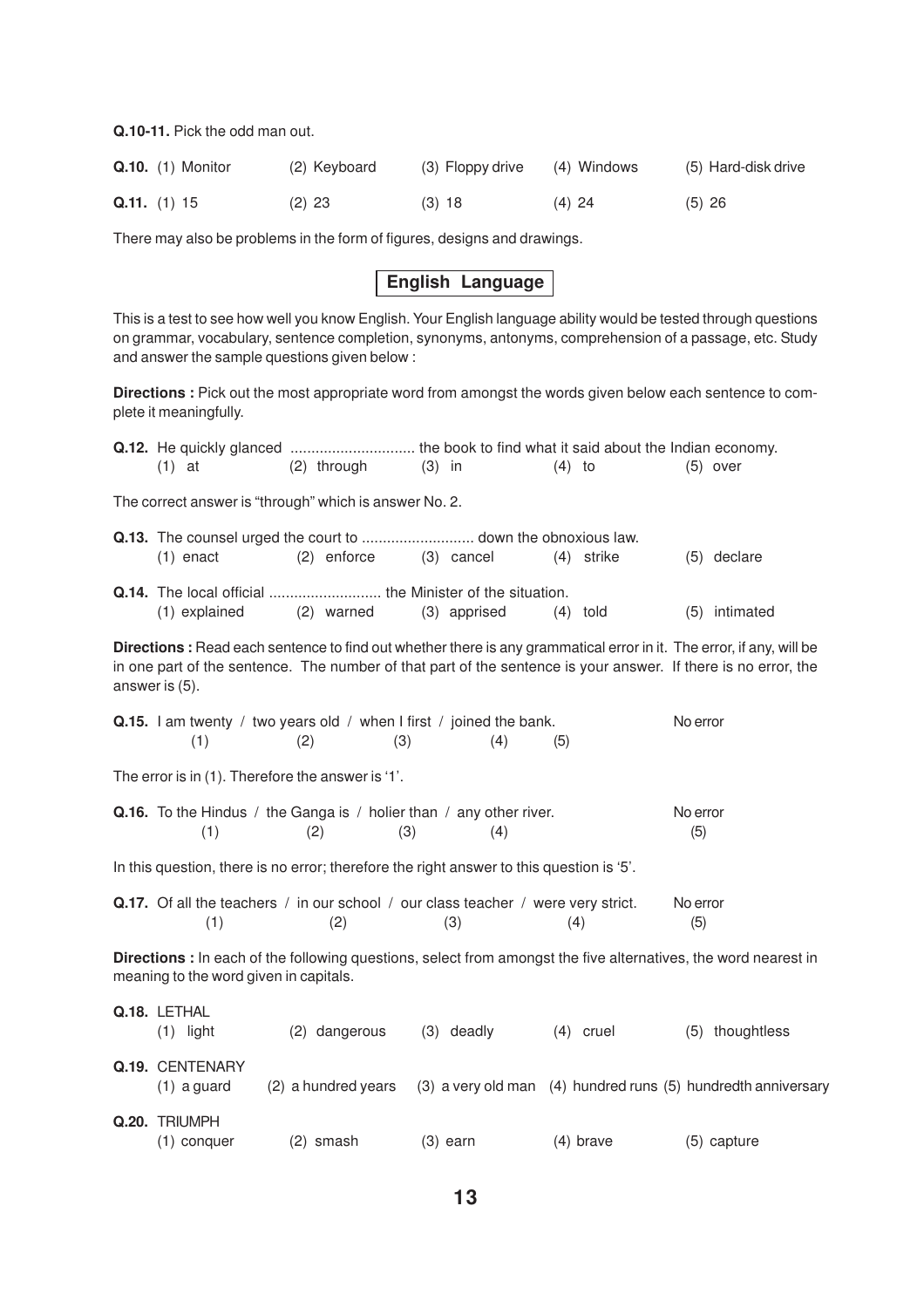**Q.10-11.** Pick the odd man out.

| <b>Q.10.</b> (1) Monitor |          | (2) Keyboard | (3) Floppy drive | (4) Windows | (5) Hard-disk drive |
|--------------------------|----------|--------------|------------------|-------------|---------------------|
| Q.11. (1) 15             | $(2)$ 23 | $(3)$ 18     | $(4)$ 24         | $(5)$ 26    |                     |

There may also be problems in the form of figures, designs and drawings.

# **English Language**

This is a test to see how well you know English. Your English language ability would be tested through questions on grammar, vocabulary, sentence completion, synonyms, antonyms, comprehension of a passage, etc. Study and answer the sample questions given below :

**Directions :** Pick out the most appropriate word from amongst the words given below each sentence to complete it meaningfully.

| <b>Q.12.</b> He quickly glanced  the book to find what it said about the Indian economy.                                                                                                                                                                |                     |          |              |          |              |                 |                                                               |
|---------------------------------------------------------------------------------------------------------------------------------------------------------------------------------------------------------------------------------------------------------|---------------------|----------|--------------|----------|--------------|-----------------|---------------------------------------------------------------|
| $(1)$ at                                                                                                                                                                                                                                                | (2) through         | $(3)$ in |              | $(4)$ to |              |                 | $(5)$ over                                                    |
| The correct answer is "through" which is answer No. 2.                                                                                                                                                                                                  |                     |          |              |          |              |                 |                                                               |
| $(1)$ enact                                                                                                                                                                                                                                             | (2) enforce         |          | $(3)$ cancel |          | $(4)$ strike |                 | (5) declare                                                   |
| (1) explained                                                                                                                                                                                                                                           | (2) warned          |          | (3) apprised |          | $(4)$ told   |                 | (5) intimated                                                 |
| Directions: Read each sentence to find out whether there is any grammatical error in it. The error, if any, will be<br>in one part of the sentence. The number of that part of the sentence is your answer. If there is no error, the<br>answer is (5). |                     |          |              |          |              |                 |                                                               |
| <b>Q.15.</b> I am twenty / two years old / when I first / joined the bank.<br>(1)                                                                                                                                                                       | (2)                 | (3)      | (4)          | (5)      |              | No error        |                                                               |
| The error is in (1). Therefore the answer is '1'.                                                                                                                                                                                                       |                     |          |              |          |              |                 |                                                               |
| Q.16. To the Hindus / the Ganga is / holier than / any other river.<br>(1)                                                                                                                                                                              | (2)                 | (3)      | (4)          |          |              | No error<br>(5) |                                                               |
| In this question, there is no error; therefore the right answer to this question is '5'.                                                                                                                                                                |                     |          |              |          |              |                 |                                                               |
| <b>Q.17.</b> Of all the teachers / in our school / our class teacher / were very strict.<br>(1)                                                                                                                                                         | (2)                 |          | (3)          |          | (4)          | No error<br>(5) |                                                               |
| Directions : In each of the following questions, select from amongst the five alternatives, the word nearest in<br>meaning to the word given in capitals.                                                                                               |                     |          |              |          |              |                 |                                                               |
| Q.18. LETHAL<br>$(1)$ light                                                                                                                                                                                                                             | (2) dangerous       |          | (3) deadly   |          | $(4)$ cruel  |                 | (5) thoughtless                                               |
| Q.19. CENTENARY<br>$(1)$ a guard                                                                                                                                                                                                                        | (2) a hundred years |          |              |          |              |                 | (3) a very old man (4) hundred runs (5) hundredth anniversary |
| Q.20. TRIUMPH<br>(1) conquer                                                                                                                                                                                                                            | (2) smash           |          | $(3)$ earn   |          | $(4)$ brave  |                 | (5) capture                                                   |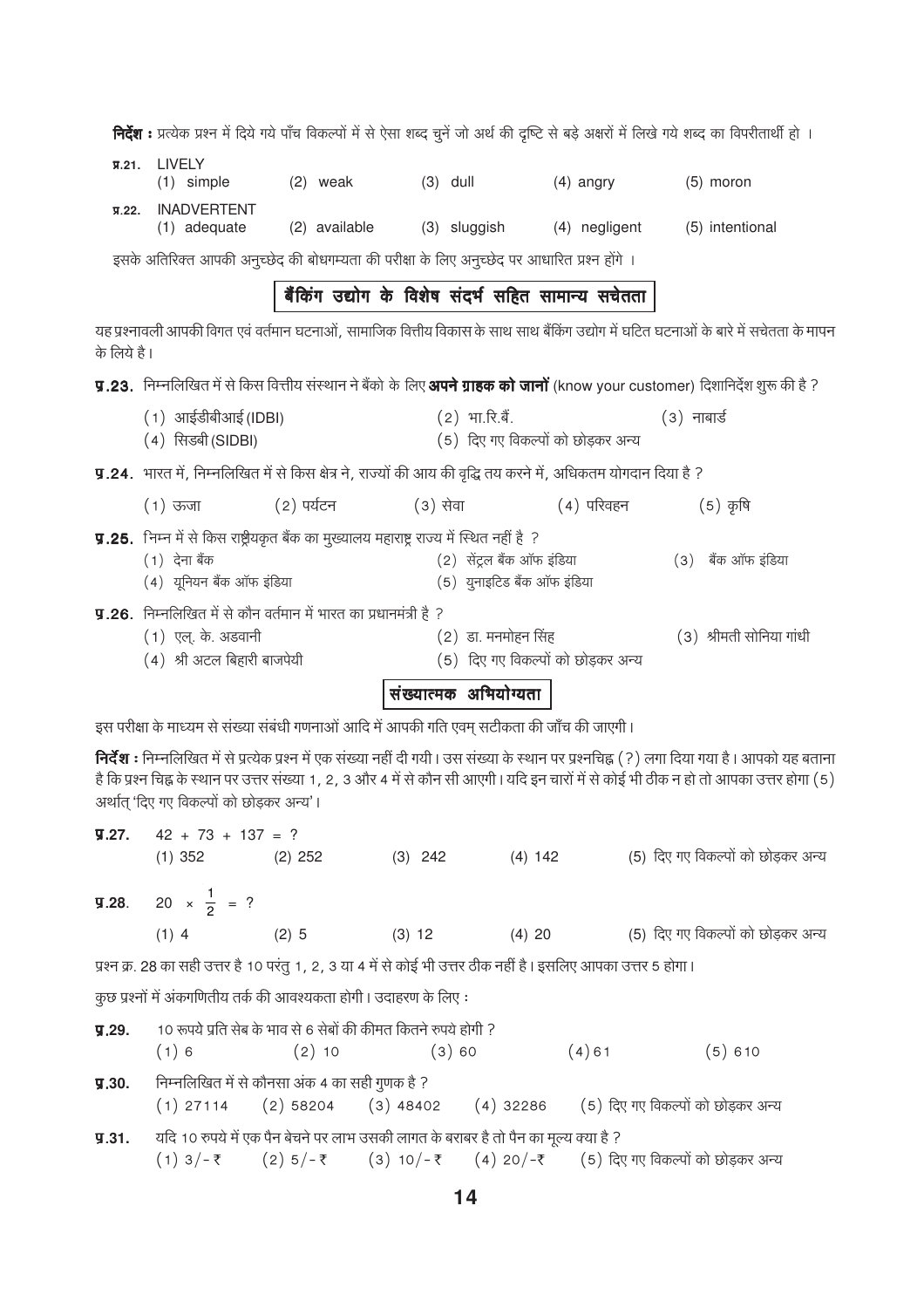निर्देश : प्रत्येक प्रश्न में दिये गये पाँच विकल्पों में से ऐसा शब्द चुनें जो अर्थ की दृष्टि से बड़े अक्षरों में लिखे गये शब्द का विपरीतार्थी हो । **T.21.** LIVELY  $(1)$  simple  $(2)$  weak  $(3)$  dull  $(4)$  angry  $(5)$  moron я.22. INADVERTENT (1) adequate (2) available (3) sluggish (4) negligent (5) intentional इसके अतिरिक्त आपकी अनूच्छेद की बोधगम्यता की परीक्षा के लिए अनूच्छेद पर आधारित प्रश्न होंगे । बैंकिंग उद्योग के विशेष संदर्भ सहित सामान्य सचेतता यह प्रश्नावली आपकी विगत एवं वर्तमान घटनाओं, सामाजिक वित्तीय विकास के साथ साथ बैंकिंग उद्योग में घटित घटनाओं के बारे में सचेतता के मापन के लिये है । **प्र.23.** निम्नलिखित में से किस वित्तीय संस्थान ने बैंको के लिए **अपने ग्राहक को जानों** (know your customer) दिशानिर्देश शुरू की है ?  $(1)$  आईडीबीआई (IDBI)  $(2)$  भा.रि.बैं.  $(3)$  नाबार्ड (4) सिडबी (SIDBI) (5) दिए गए विकल्पों को छोडकर अन्य **प्र.24.** भारत में, निम्नलिखित में से किस क्षेत्र ने, राज्यों की आय की वृद्धि तय करने में, अधिकतम योगदान दिया है ? (2) पर्यटन  $(1)$  ऊजा (3) सेव<u>ा</u> (4) परिवहन  $(5)$  कृषि **y.25.** निम्न में से किस राष्ट्रीयकृत बैंक का मुख्यालय महाराष्ट्र राज्य में स्थित नहीं है ? (2) सेंट्रल बैंक ऑफ इंडिया  $(1)$  देना बैंक (3) बैंक ऑफ इंडिया (4) यूनियन बैंक ऑफ इंडिया (5) युनाइटिड बैंक ऑफ इंडिया **प्र.26.** निम्नलिखित में से कौन वर्तमान में भारत का प्रधानमंत्री है ? (1) एल्. के. अडवानी  $(2)$  डा. मनमोहन सिंह (3) श्रीमती सोनिया गांधी (4) श्री अटल बिहारी बाजपेयी (5) दिए गए विकल्पों को छोडकर अन्य संख्यात्मक अभियोग्यता

इस परीक्षा के माध्यम से संख्या संबंधी गणनाओं आदि में आपकी गति एवम सटीकता की जाँच की जाएगी।

निर्देश : निम्नलिखित में से प्रत्येक प्रश्न में एक संख्या नहीं दी गयी। उस संख्या के स्थान पर प्रश्नचिह्न (?) लगा दिया गया है। आपको यह बताना है कि प्रश्न चिह्न के स्थान पर उत्तर संख्या 1, 2, 3 और 4 में से कौन सी आएगी। यदि इन चारों में से कोई भी ठीक न हो तो आपका उत्तर होगा (5) अर्थात् 'दिए गए विकल्पों को छोड़कर अन्य'।

|       | $\overline{y}$ .27. 42 + 73 + 137 = ?    |                                                                                                                |           |           |                                                                                      |
|-------|------------------------------------------|----------------------------------------------------------------------------------------------------------------|-----------|-----------|--------------------------------------------------------------------------------------|
|       | $(1)$ 352 $(2)$ 252                      |                                                                                                                | $(3)$ 242 | $(4)$ 142 | (5) दिए गए विकल्पों को छोड़कर अन्य                                                   |
|       | <b>y.28.</b> 20 $\times \frac{1}{2}$ = ? |                                                                                                                |           |           |                                                                                      |
|       |                                          | $(1)$ 4 $(2)$ 5                                                                                                | $(3)$ 12  | (4) 20    | (5) दिए गए विकल्पों को छोड़कर अन्य                                                   |
|       |                                          | प्रश्न क्र. 28 का सही उत्तर है 10 परंतु 1, 2, 3 या 4 में से कोई भी उत्तर ठीक नहीं है। इसलिए आपका उत्तर 5 होगा। |           |           |                                                                                      |
|       |                                          | कुछ प्रश्नों में अंकगणितीय तर्क की आवश्यकता होगी। उदाहरण के लिए:                                               |           |           |                                                                                      |
| 9.29. | $(1) 6$ $(2) 10$                         | 10 रूपये प्रति सेब के भाव से 6 सेबों की कीमत कितने रुपये होगी ?                                                | (3)60     |           | $(4)$ 61<br>$(5)$ 610                                                                |
| 9.30. |                                          | निम्नलिखित में से कौनसा अंक 4 का सही गुणक है ?                                                                 |           |           | (1) 27114 (2) 58204 (3) 48402 (4) 32286 (5) दिए गए विकल्पों को छोड़कर अन्य           |
| 9.31. |                                          | यदि 10 रुपये में एक पैन बेचने पर लाभ उसकी लागत के बराबर है तो पैन का मूल्य क्या है ?                           |           |           | (1) $3/-$ ₹ (2) $5/-$ ₹ (3) $10/-$ ₹ (4) $20/-$ ₹ (5) दिए गए विकल्पों को छोड़कर अन्य |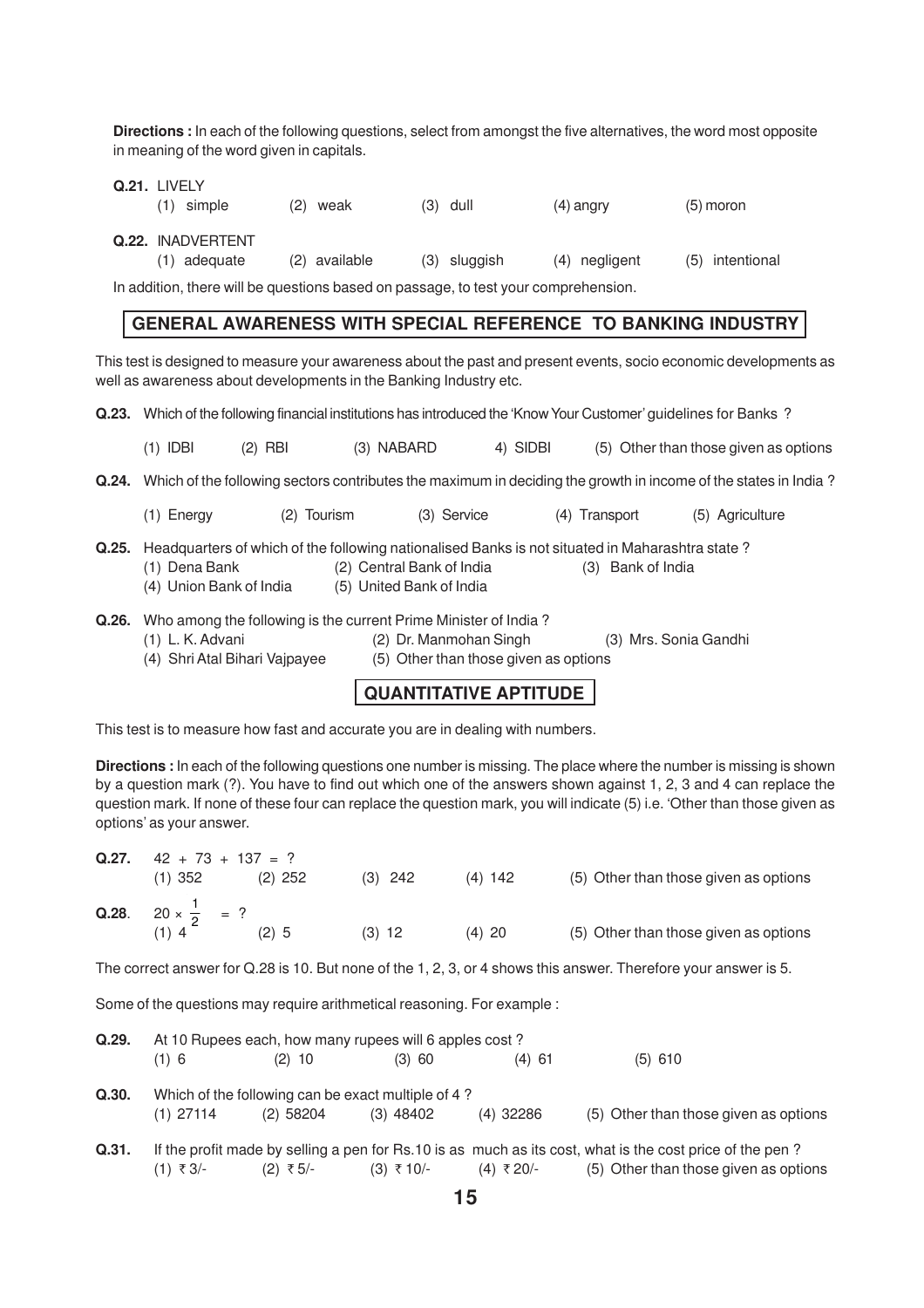**Directions :** In each of the following questions, select from amongst the five alternatives, the word most opposite in meaning of the word given in capitals.

|       | Q.21. LIVELY<br>$(1)$ simple                                                                                     |           | (2) weak                  | $(3)$ dull   |     | $(4)$ angry       | $(5)$ moron                                                                                                           |  |
|-------|------------------------------------------------------------------------------------------------------------------|-----------|---------------------------|--------------|-----|-------------------|-----------------------------------------------------------------------------------------------------------------------|--|
|       | Q.22. INADVERTENT<br>(1) adequate                                                                                |           | (2) available             | (3) sluggish | (4) | negligent         | intentional<br>(5)                                                                                                    |  |
|       | In addition, there will be questions based on passage, to test your comprehension.                               |           |                           |              |     |                   |                                                                                                                       |  |
|       |                                                                                                                  |           |                           |              |     |                   | <b>GENERAL AWARENESS WITH SPECIAL REFERENCE TO BANKING INDUSTRY</b>                                                   |  |
|       | well as awareness about developments in the Banking Industry etc.                                                |           |                           |              |     |                   | This test is designed to measure your awareness about the past and present events, socio economic developments as     |  |
| Q.23. |                                                                                                                  |           |                           |              |     |                   | Which of the following financial institutions has introduced the 'Know Your Customer' guidelines for Banks?           |  |
|       | $(1)$ IDBI                                                                                                       | $(2)$ RBI | (3) NABARD                | 4) SIDBI     |     |                   | (5) Other than those given as options                                                                                 |  |
|       |                                                                                                                  |           |                           |              |     |                   | Q.24. Which of the following sectors contributes the maximum in deciding the growth in income of the states in India? |  |
|       | $(1)$ Energy                                                                                                     |           | (2) Tourism               | (3) Service  | (4) | Transport         | (5) Agriculture                                                                                                       |  |
| Q.25. | Headquarters of which of the following nationalised Banks is not situated in Maharashtra state?<br>(1) Dena Bank |           | (2) Central Bank of India |              |     | (3) Bank of India |                                                                                                                       |  |

(4) Union Bank of India (5) United Bank of India

**Q.26.** Who among the following is the current Prime Minister of India ?

- (1) L. K. Advani (2) Dr. Manmohan Singh (3) Mrs. Sonia Gandhi
- (4) Shri Atal Bihari Vajpayee (5) Other than those given as options

# **QUANTITATIVE APTITUDE**

This test is to measure how fast and accurate you are in dealing with numbers.

**Directions :** In each of the following questions one number is missing. The place where the number is missing is shown by a question mark (?). You have to find out which one of the answers shown against 1, 2, 3 and 4 can replace the question mark. If none of these four can replace the question mark, you will indicate (5) i.e. 'Other than those given as options' as your answer.

| Q.27. | $42 + 73 + 137 = ?$               |           |           |           |                                       |
|-------|-----------------------------------|-----------|-----------|-----------|---------------------------------------|
|       | $(1)$ 352                         | $(2)$ 252 | $(3)$ 242 | $(4)$ 142 | (5) Other than those given as options |
|       | Q.28. $20 \times \frac{1}{2}$ = ? | (2) 5     | $(3)$ 12  | $(4)$ 20  | (5) Other than those given as options |

The correct answer for Q.28 is 10. But none of the 1, 2, 3, or 4 shows this answer. Therefore your answer is 5.

Some of the questions may require arithmetical reasoning. For example :

| Q.29. | At 10 Rupees each, how many rupees will 6 apples cost? |                                                                   |             |              |                                                                                                                                                   |  |  |  |
|-------|--------------------------------------------------------|-------------------------------------------------------------------|-------------|--------------|---------------------------------------------------------------------------------------------------------------------------------------------------|--|--|--|
|       | $(1)$ 6                                                | $(2)$ 10                                                          | (3) 60      | $(4)$ 61     | $(5)$ 610                                                                                                                                         |  |  |  |
| Q.30. | $(1)$ 27114                                            | Which of the following can be exact multiple of 4?<br>$(2)$ 58204 | $(3)$ 48402 | $(4)$ 32286  | (5) Other than those given as options                                                                                                             |  |  |  |
| Q.31. | (1) ₹3/-                                               | (2) ₹ 5/-                                                         | (3) ₹10/-   | $(4)$ ₹ 20/- | If the profit made by selling a pen for Rs.10 is as much as its cost, what is the cost price of the pen?<br>(5) Other than those given as options |  |  |  |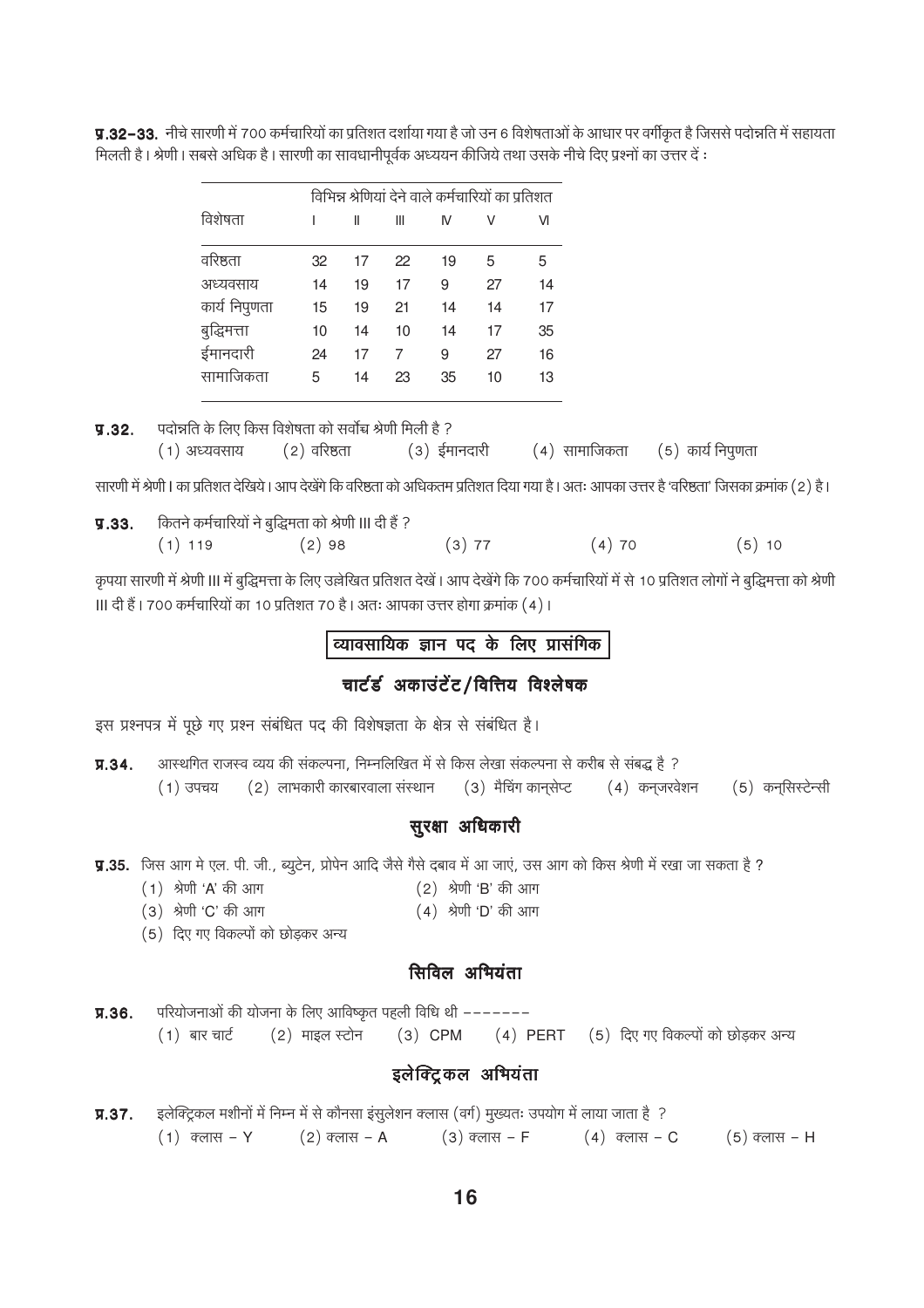|               | विभिन्न श्रेणियां देने वाले कर्मचारियों का प्रतिशत |    |    |    |    |    |
|---------------|----------------------------------------------------|----|----|----|----|----|
| विशेषता       |                                                    | Ш  | Ш  | IV | V  | VI |
| वरिष्ठता      | 32                                                 | 17 | 22 | 19 | 5  | 5  |
| अध्यवसाय      | 14                                                 | 19 | 17 | 9  | 27 | 14 |
| कार्य निपुणता | 15                                                 | 19 | 21 | 14 | 14 | 17 |
| बुद्धिमत्ता   | 10                                                 | 14 | 10 | 14 | 17 | 35 |
| ईमानदारी      | 24                                                 | 17 | 7  | 9  | 27 | 16 |
| सामाजिकता     | 5                                                  | 14 | 23 | 35 | 10 | 13 |

y.32–33. नीचे सारणी में 700 कर्मचारियों का प्रतिशत दर्शाया गया है जो उन 6 विशेषताओं के आधार पर वर्गीकृत है जिससे पदोन्नति में सहायता मिलती है। श्रेणी। सबसे अधिक है। सारणी का सावधानीपूर्वक अध्ययन कीजिये तथा उसके नीचे दिए प्रश्नों का उत्तर दें :

| 9.32. |                                 | पदोन्नति के लिए किस विशेषता को सर्वोच्च श्रेणी मिली है ? |                                                       |  |
|-------|---------------------------------|----------------------------------------------------------|-------------------------------------------------------|--|
|       | (1) अध्यवसाय       (2) वरिष्ठता |                                                          | (३) ईमानदारी       (4) सामाजिकता    (5) कार्य निपुणता |  |

सारणी में श्रेणी। का प्रतिशत देखिये। आप देखेंगे कि वरिष्ठता को अधिकतम प्रतिशत दिया गया है। अतः आपका उत्तर है 'वरिष्ठता' जिसका क्रमांक (2) है।

| 9.33. |           | कितने कर्मचारियों ने बुद्धिमता को श्रेणी III दी हैं ? |          |       |       |
|-------|-----------|-------------------------------------------------------|----------|-------|-------|
|       | $(1)$ 119 | $(2)$ 98                                              | $(3)$ 77 | (4)70 | (5)10 |

कृपया सारणी में श्रेणी III में बुद्धिमत्ता के लिए उल्लेखित प्रतिशत देखें। आप देखेंगे कि 700 कर्मचारियों में से 10 प्रतिशत लोगों ने बुद्धिमत्ता को श्रेणी ॥| दी हैं | 700 कर्मचारियों का 10 प्रतिशत 70 है | अतः आपका उत्तर होगा क्रमांक (4) |

# व्यावसायिक ज्ञान पद के लिए प्रासंगिक

# चार्टर्ड अकाउंटेंट/वित्तिय विश्लेषक

इस प्रश्नपत्र में पूछे गए प्रश्न संबंधित पद की विशेषज्ञता के क्षेत्र से संबंधित है।

आस्थगित राजस्व व्यय की संकल्पना, निम्नलिखित में से किस लेखा संकल्पना से करीब से संबद्ध है ?  $\Pi.34.$  $(2)$  लाभकारी कारबारवाला संस्थान  $(3)$  मैचिंग कान्*सेप्ट* (4) कन्जरवेशन (5) कन्सिस्टेन्सी  $(1)$  उपचय

### सुरक्षा अधिकारी

**प्र.35.** जिस आग मे एल. पी. जी., ब्यूटेन, प्रोपेन आदि जैसे गैसे दबाव में आ जाएं, उस आग को किस श्रेणी में रखा जा सकता है ?

- (1) श्रेणी 'A' की आग (2) श्रेणी 'B' की आग
- (3) श्रेणी 'C' की आग  $(4)$  श्रेणी 'D' की आग
- (5) दिए गए विकल्पों को छोडकर अन्य

# सिविल अभियंता

परियोजनाओं की योजना के लिए आविष्कृत पहली विधि थी ------- $\Pi.36.$ (3) CPM (4) PERT (5) दिए गए विकल्पों को छोड़कर अन्य  $(1)$  बार चार्ट  $(2)$  माइल स्टोन

### इलेक्ट्रिकल अभियंता

 $\Pi.37.$ इलेक्ट्रिकल मशीनों में निम्न में से कौनसा इसूलेशन क्लास (वर्ग) मुख्यतः उपयोग में लाया जाता है ?  $(1)$  क्लास – Y  $(2)$  क्लास – A  $(3)$  क्लास – F  $(4)$  क्लास – C  $(5)$  क्लास – H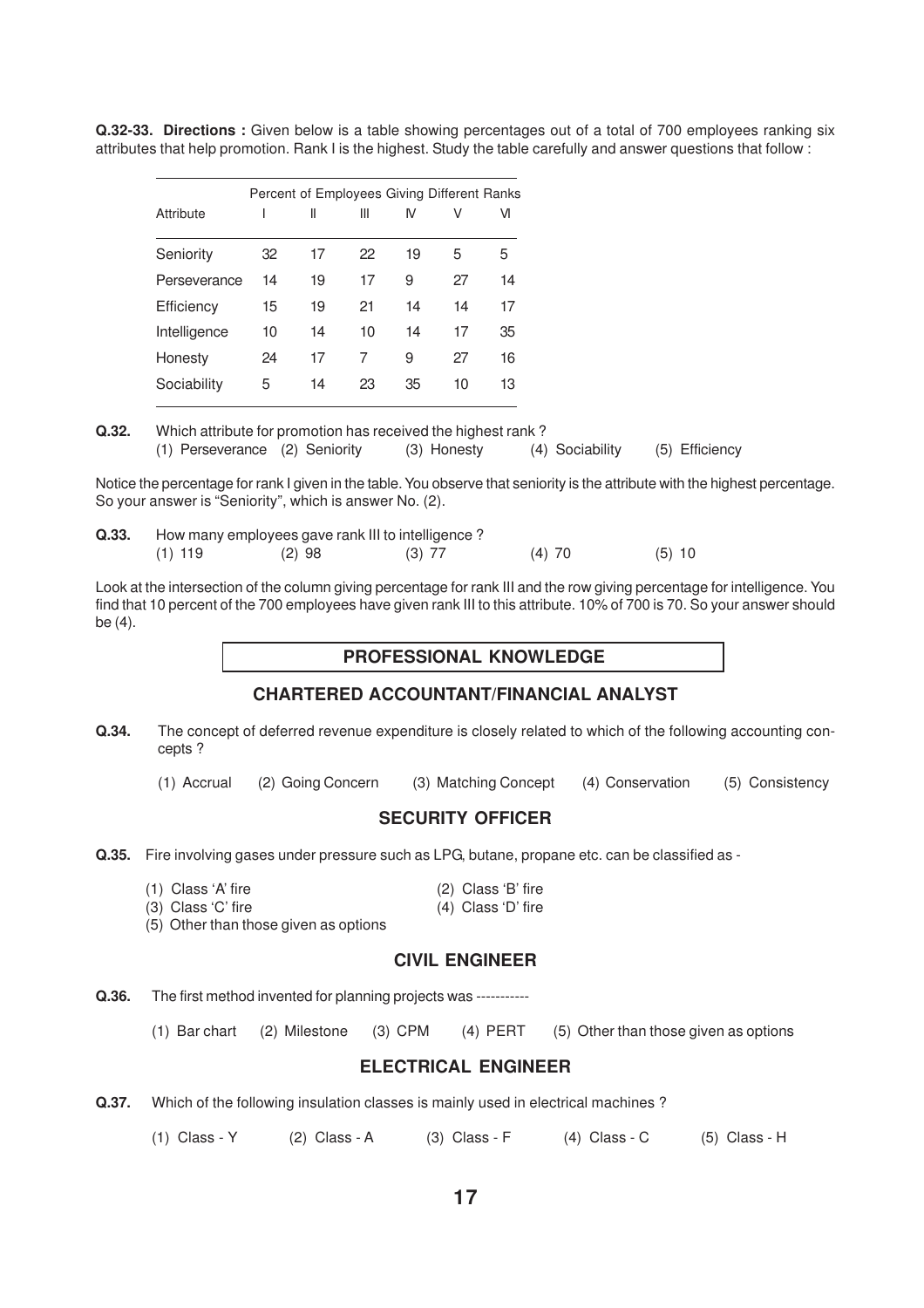**Q.32-33. Directions :** Given below is a table showing percentages out of a total of 700 employees ranking six attributes that help promotion. Rank I is the highest. Study the table carefully and answer questions that follow :

|              |    |    | Percent of Employees Giving Different Ranks |    |    |    |
|--------------|----|----|---------------------------------------------|----|----|----|
| Attribute    |    | Ш  | Ш                                           | M  | V  | VI |
| Seniority    | 32 | 17 | 22                                          | 19 | 5  | 5  |
| Perseverance | 14 | 19 | 17                                          | 9  | 27 | 14 |
| Efficiency   | 15 | 19 | 21                                          | 14 | 14 | 17 |
| Intelligence | 10 | 14 | 10                                          | 14 | 17 | 35 |
| Honesty      | 24 | 17 | 7                                           | 9  | 27 | 16 |
| Sociability  | 5  | 14 | 23                                          | 35 | 10 | 13 |

**Q.32.** Which attribute for promotion has received the highest rank ? (1) Perseverance (2) Seniority (3) Honesty (4) Sociability (5) Efficiency

Notice the percentage for rank I given in the table. You observe that seniority is the attribute with the highest percentage. So your answer is "Seniority", which is answer No. (2).

| Q.33. |           |          | How many employees gave rank III to intelligence? |          |          |
|-------|-----------|----------|---------------------------------------------------|----------|----------|
|       | $(1)$ 119 | $(2)$ 98 | $(3)$ 77                                          | $(4)$ 70 | $(5)$ 10 |

Look at the intersection of the column giving percentage for rank III and the row giving percentage for intelligence. You find that 10 percent of the 700 employees have given rank III to this attribute. 10% of 700 is 70. So your answer should be (4).

### **PROFESSIONAL KNOWLEDGE**

### **CHARTERED ACCOUNTANT/FINANCIAL ANALYST**

- **Q.34.** The concept of deferred revenue expenditure is closely related to which of the following accounting concepts ?
	- (1) Accrual (2) Going Concern (3) Matching Concept (4) Conservation (5) Consistency

### **SECURITY OFFICER**

**Q.35.** Fire involving gases under pressure such as LPG, butane, propane etc. can be classified as -

| $(1)$ Class 'A' fire | (2) Class 'B' fire   |  |
|----------------------|----------------------|--|
| (3) Class 'C' fire   | $(4)$ Class 'D' fire |  |

(5) Other than those given as options

### **CIVIL ENGINEER**

**Q.36.** The first method invented for planning projects was -----------

(1) Bar chart (2) Milestone (3) CPM (4) PERT (5) Other than those given as options

### **ELECTRICAL ENGINEER**

**Q.37.** Which of the following insulation classes is mainly used in electrical machines?

(1) Class - Y (2) Class - A (3) Class - F (4) Class - C (5) Class - H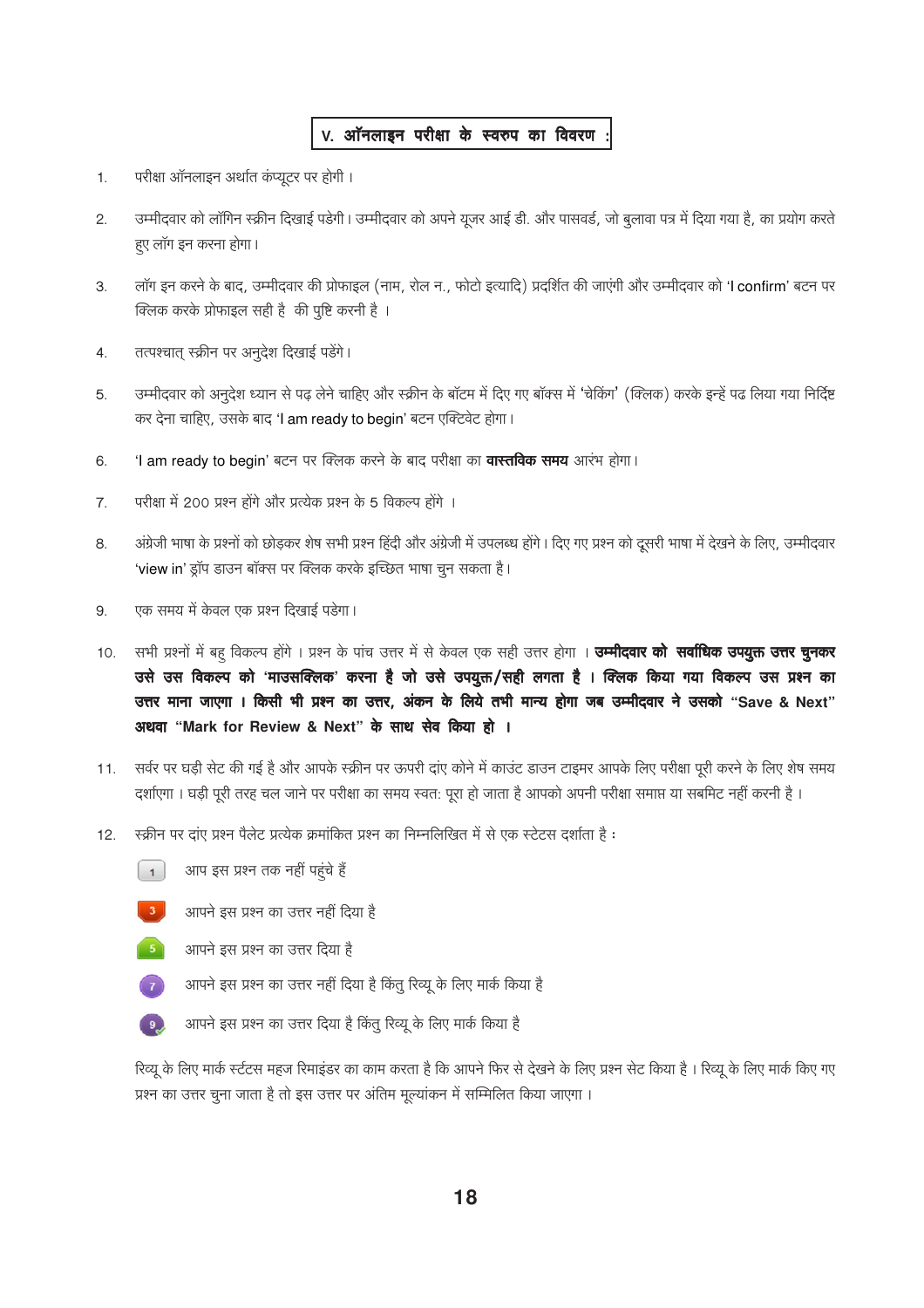# V. ऑनलाइन परीक्षा के स्वरुप का विवरण :

- परीक्षा ऑनलाइन अर्थात कंप्यूटर पर होगी ।  $\mathbf{1}$ .
- उम्मीदवार को लॉगिन स्क्रीन दिखाई पडेगी। उम्मीदवार को अपने यूजर आई डी. और पासवर्ड, जो बुलावा पत्र में दिया गया है, का प्रयोग करते  $\overline{2}$ . हए लॉग इन करना होगा।
- लॉग इन करने के बाद, उम्मीदवार की प्रोफाइल (नाम, रोल न., फोटो इत्यादि) प्रदर्शित की जाएंगी और उम्मीदवार को 'I confirm' बटन पर  $3.$ क्लिक करके प्रोफाइल सही है की पुष्टि करनी है।
- तत्पश्चात् स्क्रीन पर अनुदेश दिखाई पडेंगे।  $4.$
- उम्मीदवार को अनुदेश ध्यान से पढ़ लेने चाहिए और स्क्रीन के बॉटम में दिए गए बॉक्स में 'चेकिंग' (क्लिक) करके इन्हें पढ लिया गया निर्दिष्ट 5. कर देना चाहिए, उसके बाद 'l am ready to begin' बटन एक्टिवेट होगा।
- 'I am ready to begin' बटन पर क्लिक करने के बाद परीक्षा का **वास्तविक समय** आरंभ होगा। 6.
- परीक्षा में 200 प्रश्न होंगे और प्रत्येक प्रश्न के 5 विकल्प होंगे ।  $\overline{7}$ .
- अंग्रेजी भाषा के प्रश्नों को छोड़कर शेष सभी प्रश्न हिंदी और अंग्रेजी में उपलब्ध होंगे। दिए गए प्रश्न को दूसरी भाषा में देखने के लिए, उम्मीदवार 8. 'view in' ड्रॉप डाउन बॉक्स पर क्लिक करके इच्छित भाषा चून सकता है।
- एक समय में केवल एक प्रश्न दिखाई पड़ेगा। 9.
- सभी प्रश्नों में बह विकल्प होंगे । प्रश्न के पांच उत्तर में से केवल एक सही उत्तर होगा । **उम्मीदवार को सर्वाधिक उपयुक्त उत्तर चुनकर** 10. उसे उस विकल्प को 'माउसक्लिक' करना है जो उसे उपयुक्त/सही लगता है । क्लिक किया गया विकल्प उस प्रश्न का उत्तर माना जाएगा । किसी भी प्रश्न का उत्तर, अंकन के लिये तभी मान्य होगा जब उम्मीदवार ने उसको "Save & Next" अथवा "Mark for Review & Next" के साथ सेव किया हो ।
- सर्वर पर घड़ी सेट की गई है और आपके स्क्रीन पर ऊपरी दाए कोने में काउंट डाउन टाइमर आपके लिए परीक्षा पूरी करने के लिए शेष समय  $11.$ दर्शाएगा । घडी पूरी तरह चल जाने पर परीक्षा का समय स्वत: पूरा हो जाता है आपको अपनी परीक्षा समाप्त या सबमिट नहीं करनी है ।
- स्क्रीन पर दाए प्रश्न पैलेट प्रत्येक क्रमांकित प्रश्न का निम्नलिखित में से एक स्टेटस दर्शाता है:  $12.$





आपने इस प्रश्न का उत्तर नहीं दिया है



- आपने इस प्रश्न का उत्तर दिया है
- $\sqrt{7}$ आपने इस प्रश्न का उत्तर नहीं दिया है किंतू रिव्यू के लिए मार्क किया है



आपने इस प्रश्न का उत्तर दिया है किंतु रिव्यू के लिए मार्क किया है

रिव्यू के लिए मार्क स्टंटस महज रिमाइंडर का काम करता है कि आपने फिर से देखने के लिए प्रश्न सेट किया है। रिव्यू के लिए मार्क किए गए प्रश्न का उत्तर चूना जाता है तो इस उत्तर पर अंतिम मूल्यांकन में सम्मिलित किया जाएगा।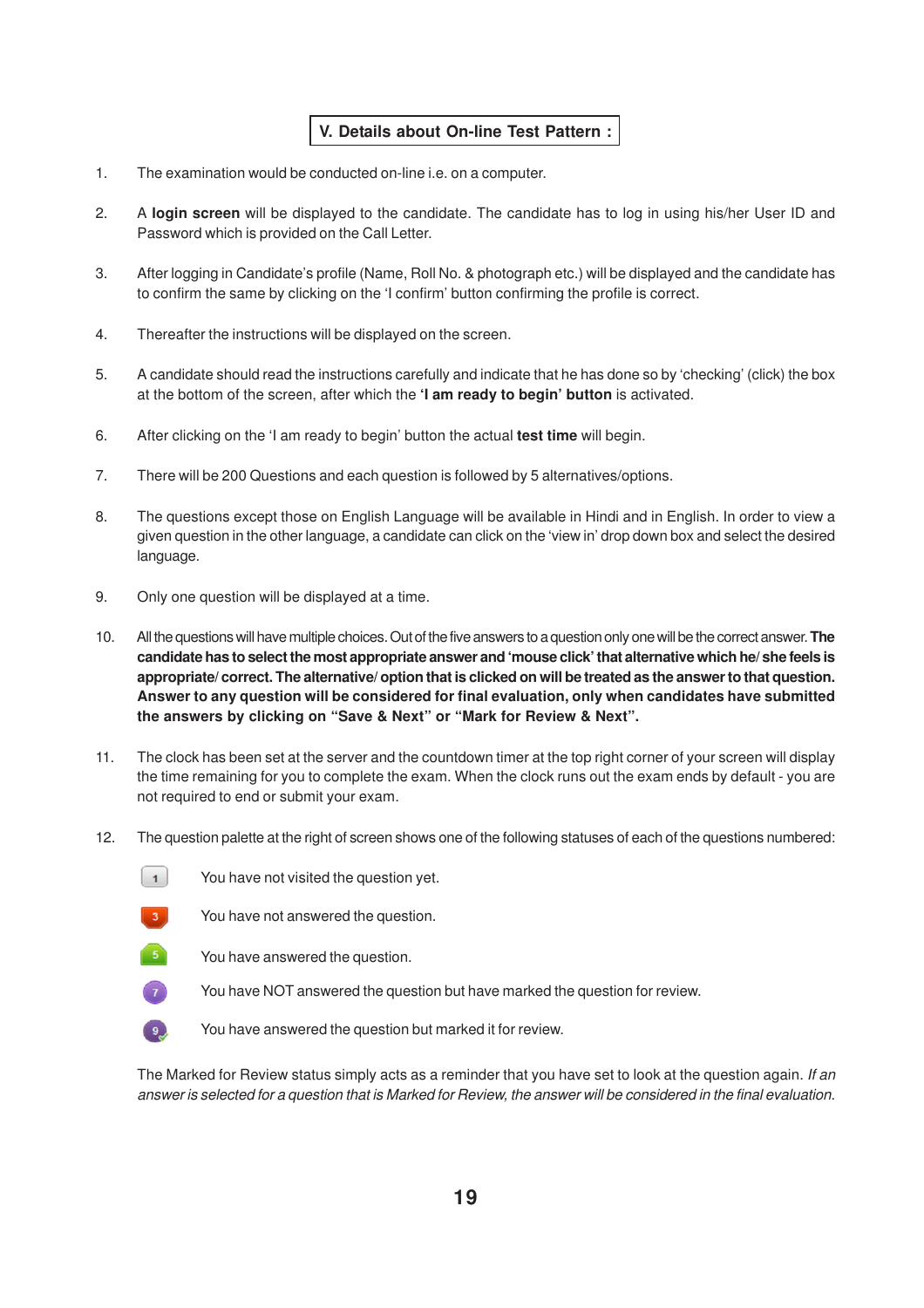# **V. Details about On-line Test Pattern :**

- 1. The examination would be conducted on-line i.e. on a computer.
- 2. A **login screen** will be displayed to the candidate. The candidate has to log in using his/her User ID and Password which is provided on the Call Letter.
- 3. After logging in Candidate's profile (Name, Roll No. & photograph etc.) will be displayed and the candidate has to confirm the same by clicking on the 'I confirm' button confirming the profile is correct.
- 4. Thereafter the instructions will be displayed on the screen.
- 5. A candidate should read the instructions carefully and indicate that he has done so by 'checking' (click) the box at the bottom of the screen, after which the **'I am ready to begin' button** is activated.
- 6. After clicking on the 'I am ready to begin' button the actual **test time** will begin.
- 7. There will be 200 Questions and each question is followed by 5 alternatives/options.
- 8. The questions except those on English Language will be available in Hindi and in English. In order to view a given question in the other language, a candidate can click on the 'view in' drop down box and select the desired language.
- 9. Only one question will be displayed at a time.
- 10. All the questions will have multiple choices. Out of the five answers to a question only one will be the correct answer. **The candidate has to select the most appropriate answer and 'mouse click' that alternative which he/ she feels is appropriate/ correct. The alternative/ option that is clicked on will be treated as the answer to that question. Answer to any question will be considered for final evaluation, only when candidates have submitted the answers by clicking on "Save & Next" or "Mark for Review & Next".**
- 11. The clock has been set at the server and the countdown timer at the top right corner of your screen will display the time remaining for you to complete the exam. When the clock runs out the exam ends by default - you are not required to end or submit your exam.
- 12. The question palette at the right of screen shows one of the following statuses of each of the questions numbered:
	- $\vert$  1 You have not visited the question yet.



You have not answered the question.



You have answered the question.



You have NOT answered the question but have marked the question for review.



The Marked for Review status simply acts as a reminder that you have set to look at the question again. If an answer is selected for a question that is Marked for Review, the answer will be considered in the final evaluation.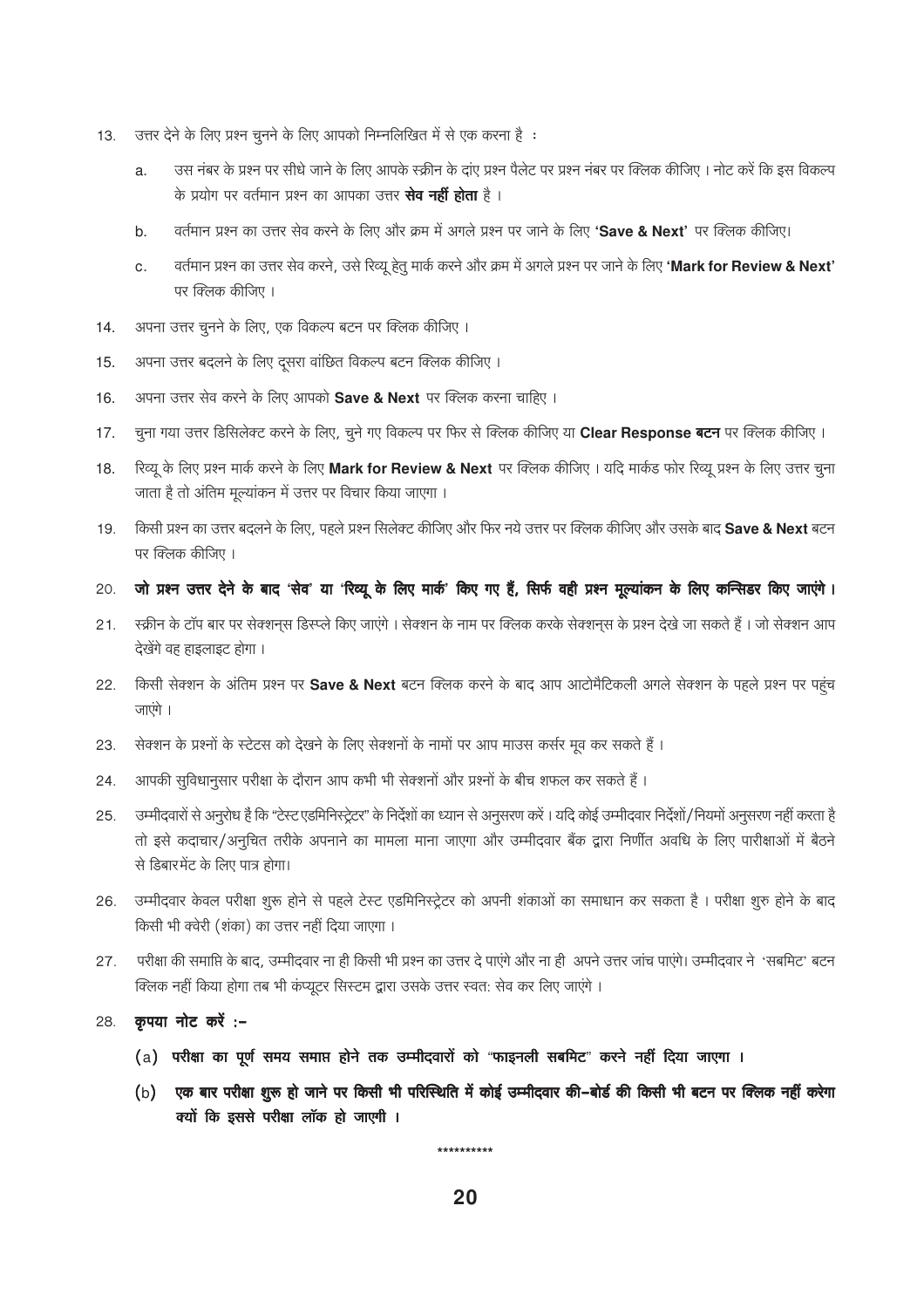- उत्तर देने के लिए प्रश्न चूनने के लिए आपको निम्नलिखित में से एक करना है:  $13.$ 
	- उस नंबर के प्रश्न पर सीधे जाने के लिए आपके स्क्रीन के दाए प्रश्न पैलेट पर प्रश्न नंबर पर क्लिक कीजिए । नोट करें कि इस विकल्प a. के प्रयोग पर वर्तमान प्रश्न का आपका उत्तर **सेव नहीं होता** है ।
	- वर्तमान प्रश्न का उत्तर सेव करने के लिए और क्रम में अगले प्रश्न पर जाने के लिए 'Save & Next' पर क्लिक कीजिए। b.
	- वर्तमान प्रश्न का उत्तर सेव करने, उसे रिव्यू हेत मार्क करने और क्रम में अगले प्रश्न पर जाने के लिए 'Mark for Review & Next'  $\overline{c}$ . पर क्लिक कीजिए ।
- अपना उत्तर चूनने के लिए, एक विकल्प बटन पर क्लिक कीजिए। 14.
- अपना उत्तर बदलने के लिए दूसरा वांछित विकल्प बटन क्लिक कीजिए।  $15.$
- अपना उत्तर सेव करने के लिए आपको Save & Next पर क्लिक करना चाहिए । 16.
- चूना गया उत्तर डिसिलेक्ट करने के लिए, चूने गए विकल्प पर फिर से क्लिक कीजिए या Clear Response बटन पर क्लिक कीजिए ।  $17<sub>1</sub>$
- रिव्यू के लिए प्रश्न मार्क करने के लिए Mark for Review & Next पर क्लिक कीजिए। यदि मार्कड फोर रिव्यू प्रश्न के लिए उत्तर चुना 18. जाता है तो अंतिम मुल्यांकन में उत्तर पर विचार किया जाएगा।
- किसी प्रश्न का उत्तर बदलने के लिए, पहले प्रश्न सिलेक्ट कीजिए और फिर नये उत्तर पर क्लिक कीजिए और उसके बाद Save & Next बटन 19. पर क्लिक कीजिए ।
- $20.$ जो प्रश्न उत्तर देने के बाद 'सेव' या 'रिव्यू के लिए मार्क' किए गए हैं, सिर्फ वही प्रश्न मूल्यांकन के लिए कन्सिडर किए जाएंगे।
- स्क्रीन के टॉप बार पर सेक्शनस डिस्प्ले किए जाएंगे । सेक्शन के नाम पर क्लिक करके सेक्शनस के प्रश्न देखे जा सकते हैं । जो सेक्शन आप  $21.$ देखेंगे वह हाइलाइट होगा ।
- किसी सेक्शन के अंतिम प्रश्न पर Save & Next बटन क्लिक करने के बाद आप आटोमैटिकली अगले सेक्शन के पहले प्रश्न पर पहुंच 22. जाएंगे ।
- सेक्शन के प्रश्नों के स्टेटस को देखने के लिए सेक्शनों के नामों पर आप माउस कर्सर मूव कर सकते हैं। 23.
- आपकी सुविधानुसार परीक्षा के दौरान आप कभी भी सेक्शनों और प्रश्नों के बीच शफल कर सकते हैं। 24.
- उम्मीदवारों से अनुरोध है कि "टेस्ट एडमिनिस्ट्रेटर" के निर्देशों का ध्यान से अनुसरण करें। यदि कोई उम्मीदवार निर्देशों/नियमों अनुसरण नहीं करता है 25. तो इसे कदाचार/अनुचित तरीके अपनाने का मामला माना जाएगा और उम्मीदवार बैंक द्वारा निर्णीत अवधि के लिए पारीक्षाओं में बैठने से डिबारमेंट के लिए पात्र होगा।
- उम्मीदवार केवल परीक्षा शुरू होने से पहले टेस्ट एडमिनिस्ट्रेटर को अपनी शंकाओं का समाधान कर सकता है। परीक्षा शुरु होने के बाद 26. किसी भी क्वेरी (शंका) का उत्तर नहीं दिया जाएगा।
- परीक्षा की समाप्ति के बाद, उम्मीदवार ना ही किसी भी प्रश्न का उत्तर दे पाएंगे और ना ही अपने उत्तर जांच पाएंगे। उम्मीदवार ने 'सबमिट' बटन 27. क्लिक नहीं किया होगा तब भी कंप्यूटर सिस्टम द्वारा उसके उत्तर स्वत: सेव कर लिए जाएंगे ।
- कृपया नोट करें :-28.
	- (a) परीक्षा का पूर्ण समय समाप्त होने तक उम्मीदवारों को "फाइनली सबमिट" करने नहीं दिया जाएगा ।
	- (b) एक बार परीक्षा शुरू हो जाने पर किसी भी परिस्थिति में कोई उम्मीदवार की-बोर्ड की किसी भी बटन पर क्लिक नहीं करेगा क्यों कि इससे परीक्षा लॉक हो जाएगी ।

\*\*\*\*\*\*\*\*\*\*\*